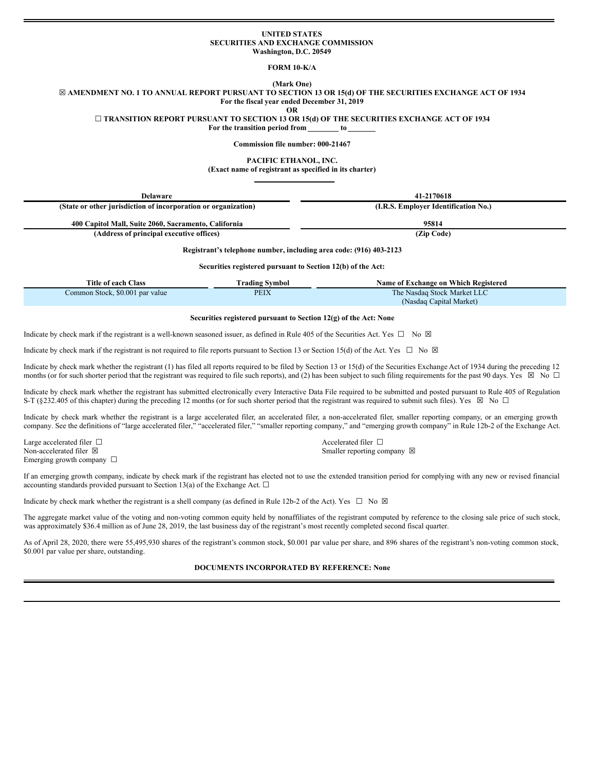### **UNITED STATES SECURITIES AND EXCHANGE COMMISSION Washington, D.C. 20549**

# **FORM 10-K/A**

# **(Mark One)**

⊠ AMENDMENT NO. 1 TO ANNUAL REPORT PURSUANT TO SECTION 13 OR 15(d) OF THE SECURITIES EXCHANGE ACT OF 1934 **For the fiscal year ended December 31, 2019**

**OR**

## ☐ **TRANSITION REPORT PURSUANT TO SECTION 13 OR 15(d) OF THE SECURITIES EXCHANGE ACT OF 1934**

**For the transition period from to**

**Commission file number: 000-21467**

**PACIFIC ETHANOL, INC. (Exact name of registrant as specified in its charter)**

| <b>Delaware</b>                                                | 41-2170618                           |
|----------------------------------------------------------------|--------------------------------------|
| (State or other jurisdiction of incorporation or organization) | (I.R.S. Employer Identification No.) |
| 400 Capitol Mall, Suite 2060, Sacramento, California           | 95814                                |
| (Address of principal executive offices)                       | (Zip Code)                           |

## **Registrant's telephone number, including area code: (916) 403-2123**

**Securities registered pursuant to Section 12(b) of the Act:**

| Title of each Class             | Frading Svmbol | <b>Name of Exchange on Which Registered</b> |
|---------------------------------|----------------|---------------------------------------------|
| Common Stock, \$0.001 par value | <b>PEIX</b>    | The Nasdaq Stock Market LLC                 |
|                                 |                | (Nasdaq Capital Market)                     |

#### **Securities registered pursuant to Section 12(g) of the Act: None**

Indicate by check mark if the registrant is a well-known seasoned issuer, as defined in Rule 405 of the Securities Act. Yes  $\Box$  No  $\boxtimes$ 

Indicate by check mark if the registrant is not required to file reports pursuant to Section 13 or Section 15(d) of the Act. Yes  $\Box$  No  $\boxtimes$ 

Indicate by check mark whether the registrant (1) has filed all reports required to be filed by Section 13 or 15(d) of the Securities Exchange Act of 1934 during the preceding 12 months (or for such shorter period that the registrant was required to file such reports), and (2) has been subject to such filing requirements for the past 90 days. Yes  $\boxtimes$  No  $\Box$ 

Indicate by check mark whether the registrant has submitted electronically every Interactive Data File required to be submitted and posted pursuant to Rule 405 of Regulation S-T (§232.405 of this chapter) during the preceding 12 months (or for such shorter period that the registrant was required to submit such files). Yes  $\boxtimes$  No  $\Box$ 

Indicate by check mark whether the registrant is a large accelerated filer, an accelerated filer, a non-accelerated filer, smaller reporting company, or an emerging growth company. See the definitions of "large accelerated filer," "accelerated filer," "smaller reporting company," and "emerging growth company" in Rule 12b-2 of the Exchange Act.

Large accelerated filer □ accelerated filer □ accelerated filer □ Non-accelerated filer  $\boxtimes$  Smaller reporting company  $\boxtimes$ Emerging growth company □

If an emerging growth company, indicate by check mark if the registrant has elected not to use the extended transition period for complying with any new or revised financial accounting standards provided pursuant to Section 13(a) of the Exchange Act.  $\Box$ 

Indicate by check mark whether the registrant is a shell company (as defined in Rule 12b-2 of the Act). Yes  $\Box$  No  $\boxtimes$ 

The aggregate market value of the voting and non-voting common equity held by nonaffiliates of the registrant computed by reference to the closing sale price of such stock, was approximately \$36.4 million as of June 28, 2019, the last business day of the registrant's most recently completed second fiscal quarter.

As of April 28, 2020, there were 55,495,930 shares of the registrant's common stock, \$0.001 par value per share, and 896 shares of the registrant's non-voting common stock, \$0.001 par value per share, outstanding.

## **DOCUMENTS INCORPORATED BY REFERENCE: None**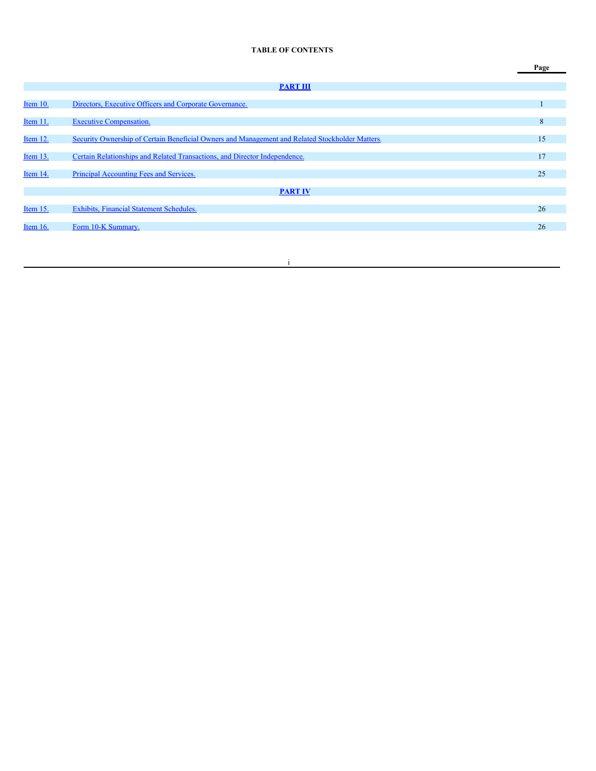# **TABLE OF CONTENTS**

|            |                                                                                                 | Page |
|------------|-------------------------------------------------------------------------------------------------|------|
|            | <b>PART III</b>                                                                                 |      |
| Item 10.   | Directors, Executive Officers and Corporate Governance.                                         |      |
| Item 11.   | <b>Executive Compensation.</b>                                                                  | 8    |
|            |                                                                                                 |      |
| Item 12.   | Security Ownership of Certain Beneficial Owners and Management and Related Stockholder Matters. | 15   |
| Item 13.   | Certain Relationships and Related Transactions, and Director Independence.                      | 17   |
| Item 14.   | Principal Accounting Fees and Services.                                                         | 25   |
|            | <b>PART IV</b>                                                                                  |      |
| Item $15.$ | Exhibits, Financial Statement Schedules.                                                        | 26   |
|            |                                                                                                 |      |
| Item $16.$ | Form 10-K Summary.                                                                              | 26   |

i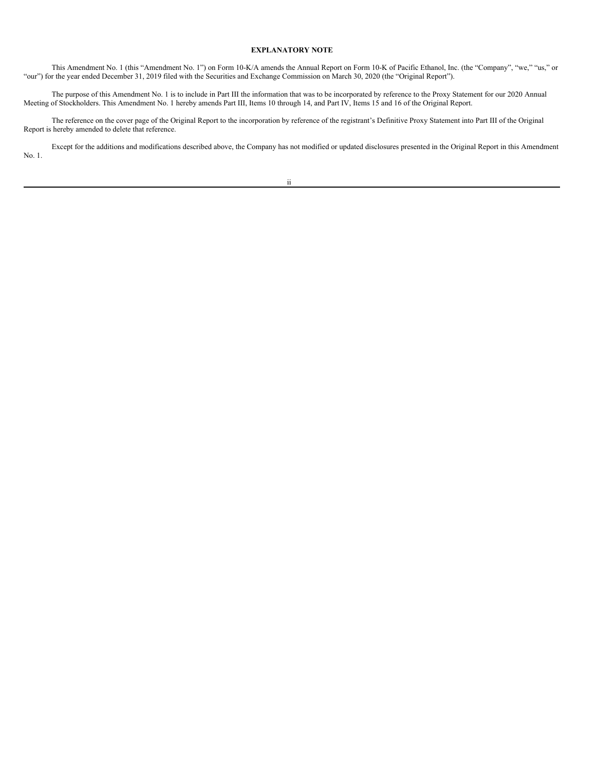## **EXPLANATORY NOTE**

This Amendment No. 1 (this "Amendment No. 1") on Form 10-K/A amends the Annual Report on Form 10-K of Pacific Ethanol, Inc. (the "Company", "we," "us," or "our") for the year ended December 31, 2019 filed with the Securities and Exchange Commission on March 30, 2020 (the "Original Report").

The purpose of this Amendment No. 1 is to include in Part III the information that was to be incorporated by reference to the Proxy Statement for our 2020 Annual Meeting of Stockholders. This Amendment No. 1 hereby amends Part III, Items 10 through 14, and Part IV, Items 15 and 16 of the Original Report.

The reference on the cover page of the Original Report to the incorporation by reference of the registrant's Definitive Proxy Statement into Part III of the Original Report is hereby amended to delete that reference.

Except for the additions and modifications described above, the Company has not modified or updated disclosures presented in the Original Report in this Amendment No. 1.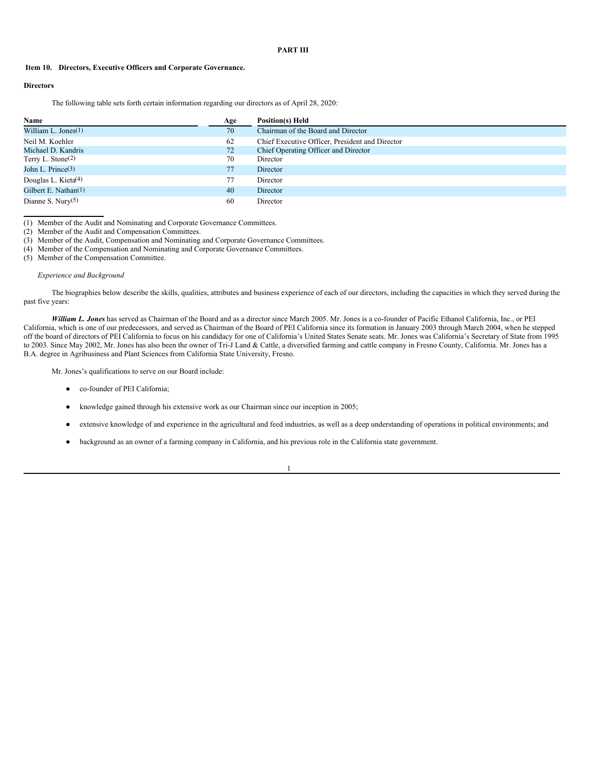## <span id="page-3-0"></span>**PART III**

## <span id="page-3-1"></span>**Item 10. Directors, Executive Officers and Corporate Governance.**

## **Directors**

The following table sets forth certain information regarding our directors as of April 28, 2020:

| Name                            | Age | Position(s) Held                                |
|---------------------------------|-----|-------------------------------------------------|
| William L. Jones $(1)$          | 70  | Chairman of the Board and Director              |
| Neil M. Koehler                 | 62  | Chief Executive Officer, President and Director |
| Michael D. Kandris              | 72  | Chief Operating Officer and Director            |
| Terry L. Stone <sup>(2)</sup>   | 70  | Director                                        |
| John L. Prince $(3)$            | 77  | Director                                        |
| Douglas L. Kieta <sup>(4)</sup> | 77  | Director                                        |
| Gilbert E. Nathan(1)            | 40  | Director                                        |
| Dianne S. Nury $(5)$            | 60  | Director                                        |

(1) Member of the Audit and Nominating and Corporate Governance Committees.

(2) Member of the Audit and Compensation Committees.

(3) Member of the Audit, Compensation and Nominating and Corporate Governance Committees.

(4) Member of the Compensation and Nominating and Corporate Governance Committees.

(5) Member of the Compensation Committee.

## *Experience and Background*

The biographies below describe the skills, qualities, attributes and business experience of each of our directors, including the capacities in which they served during the past five years:

*William L. Jones* has served as Chairman of the Board and as a director since March 2005. Mr. Jones is a co-founder of Pacific Ethanol California, Inc., or PEI California, which is one of our predecessors, and served as Chairman of the Board of PEI California since its formation in January 2003 through March 2004, when he stepped off the board of directors of PEI California to focus on his candidacy for one of California's United States Senate seats. Mr. Jones was California's Secretary of State from 1995 to 2003. Since May 2002, Mr. Jones has also been the owner of Tri-J Land & Cattle, a diversified farming and cattle company in Fresno County, California. Mr. Jones has a B.A. degree in Agribusiness and Plant Sciences from California State University, Fresno.

Mr. Jones's qualifications to serve on our Board include:

- co-founder of PEI California;
- knowledge gained through his extensive work as our Chairman since our inception in 2005;
- extensive knowledge of and experience in the agricultural and feed industries, as well as a deep understanding of operations in political environments; and

1

background as an owner of a farming company in California, and his previous role in the California state government.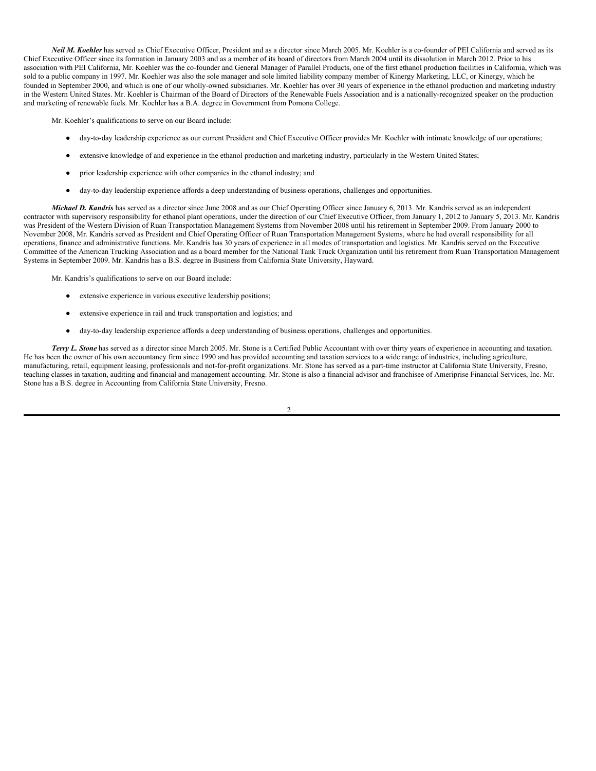*Neil M. Koehler* has served as Chief Executive Officer, President and as a director since March 2005. Mr. Koehler is a co-founder of PEI California and served as its Chief Executive Officer since its formation in January 2003 and as a member of its board of directors from March 2004 until its dissolution in March 2012. Prior to his association with PEI California, Mr. Koehler was the co-founder and General Manager of Parallel Products, one of the first ethanol production facilities in California, which was sold to a public company in 1997. Mr. Koehler was also the sole manager and sole limited liability company member of Kinergy Marketing, LLC, or Kinergy, which he founded in September 2000, and which is one of our wholly-owned subsidiaries. Mr. Koehler has over 30 years of experience in the ethanol production and marketing industry in the Western United States. Mr. Koehler is Chairman of the Board of Directors of the Renewable Fuels Association and is a nationally-recognized speaker on the production and marketing of renewable fuels. Mr. Koehler has a B.A. degree in Government from Pomona College.

Mr. Koehler's qualifications to serve on our Board include:

- day-to-day leadership experience as our current President and Chief Executive Officer provides Mr. Koehler with intimate knowledge of our operations;
- extensive knowledge of and experience in the ethanol production and marketing industry, particularly in the Western United States;
- prior leadership experience with other companies in the ethanol industry; and
- day-to-day leadership experience affords a deep understanding of business operations, challenges and opportunities.

*Michael D. Kandris* has served as a director since June 2008 and as our Chief Operating Officer since January 6, 2013. Mr. Kandris served as an independent contractor with supervisory responsibility for ethanol plant operations, under the direction of our Chief Executive Officer, from January 1, 2012 to January 5, 2013. Mr. Kandris was President of the Western Division of Ruan Transportation Management Systems from November 2008 until his retirement in September 2009. From January 2000 to November 2008, Mr. Kandris served as President and Chief Operating Officer of Ruan Transportation Management Systems, where he had overall responsibility for all operations, finance and administrative functions. Mr. Kandris has 30 years of experience in all modes of transportation and logistics. Mr. Kandris served on the Executive Committee of the American Trucking Association and as a board member for the National Tank Truck Organization until his retirement from Ruan Transportation Management Systems in September 2009. Mr. Kandris has a B.S. degree in Business from California State University, Hayward.

Mr. Kandris's qualifications to serve on our Board include:

- extensive experience in various executive leadership positions;
- extensive experience in rail and truck transportation and logistics; and
- day-to-day leadership experience affords a deep understanding of business operations, challenges and opportunities.

*Terry L. Stone* has served as a director since March 2005. Mr. Stone is a Certified Public Accountant with over thirty years of experience in accounting and taxation. He has been the owner of his own accountancy firm since 1990 and has provided accounting and taxation services to a wide range of industries, including agriculture, manufacturing, retail, equipment leasing, professionals and not-for-profit organizations. Mr. Stone has served as a part-time instructor at California State University, Fresno, teaching classes in taxation, auditing and financial and management accounting. Mr. Stone is also a financial advisor and franchisee of Ameriprise Financial Services, Inc. Mr. Stone has a B.S. degree in Accounting from California State University, Fresno.

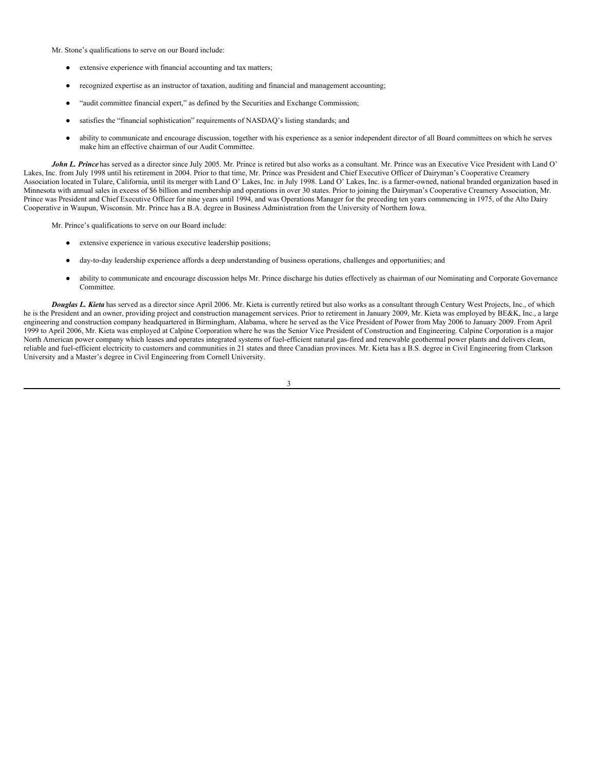Mr. Stone's qualifications to serve on our Board include:

- extensive experience with financial accounting and tax matters;
- recognized expertise as an instructor of taxation, auditing and financial and management accounting;
- "audit committee financial expert," as defined by the Securities and Exchange Commission;
- satisfies the "financial sophistication" requirements of NASDAQ's listing standards; and
- ability to communicate and encourage discussion, together with his experience as a senior independent director of all Board committees on which he serves make him an effective chairman of our Audit Committee.

*John L. Prince* has served as a director since July 2005. Mr. Prince is retired but also works as a consultant. Mr. Prince was an Executive Vice President with Land O' Lakes, Inc. from July 1998 until his retirement in 2004. Prior to that time, Mr. Prince was President and Chief Executive Officer of Dairyman's Cooperative Creamery Association located in Tulare, California, until its merger with Land O' Lakes, Inc. in July 1998. Land O' Lakes, Inc. is a farmer-owned, national branded organization based in Minnesota with annual sales in excess of \$6 billion and membership and operations in over 30 states. Prior to joining the Dairyman's Cooperative Creamery Association, Mr. Prince was President and Chief Executive Officer for nine years until 1994, and was Operations Manager for the preceding ten years commencing in 1975, of the Alto Dairy Cooperative in Waupun, Wisconsin. Mr. Prince has a B.A. degree in Business Administration from the University of Northern Iowa.

Mr. Prince's qualifications to serve on our Board include:

- extensive experience in various executive leadership positions;
- day-to-day leadership experience affords a deep understanding of business operations, challenges and opportunities; and
- ability to communicate and encourage discussion helps Mr. Prince discharge his duties effectively as chairman of our Nominating and Corporate Governance Committee.

*Douglas L. Kieta* has served as a director since April 2006. Mr. Kieta is currently retired but also works as a consultant through Century West Projects, Inc., of which he is the President and an owner, providing project and construction management services. Prior to retirement in January 2009, Mr. Kieta was employed by BE&K, Inc., a large engineering and construction company headquartered in Birmingham, Alabama, where he served as the Vice President of Power from May 2006 to January 2009. From April 1999 to April 2006, Mr. Kieta was employed at Calpine Corporation where he was the Senior Vice President of Construction and Engineering. Calpine Corporation is a major North American power company which leases and operates integrated systems of fuel-efficient natural gas-fired and renewable geothermal power plants and delivers clean, reliable and fuel-efficient electricity to customers and communities in 21 states and three Canadian provinces. Mr. Kieta has a B.S. degree in Civil Engineering from Clarkson University and a Master's degree in Civil Engineering from Cornell University.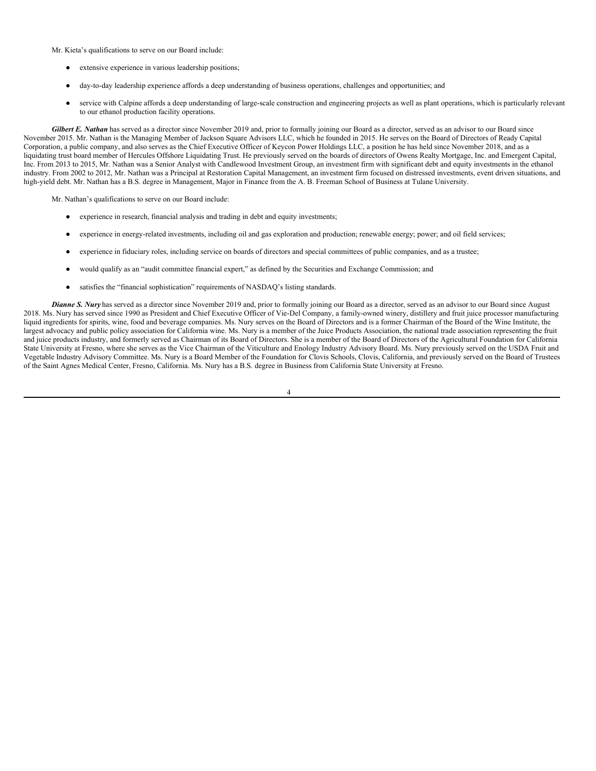Mr. Kieta's qualifications to serve on our Board include:

- extensive experience in various leadership positions;
- day-to-day leadership experience affords a deep understanding of business operations, challenges and opportunities; and
- service with Calpine affords a deep understanding of large-scale construction and engineering projects as well as plant operations, which is particularly relevant to our ethanol production facility operations.

*Gilbert E. Nathan* has served as a director since November 2019 and, prior to formally joining our Board as a director, served as an advisor to our Board since November 2015. Mr. Nathan is the Managing Member of Jackson Square Advisors LLC, which he founded in 2015. He serves on the Board of Directors of Ready Capital Corporation, a public company, and also serves as the Chief Executive Officer of Keycon Power Holdings LLC, a position he has held since November 2018, and as a liquidating trust board member of Hercules Offshore Liquidating Trust. He previously served on the boards of directors of Owens Realty Mortgage, Inc. and Emergent Capital, Inc. From 2013 to 2015, Mr. Nathan was a Senior Analyst with Candlewood Investment Group, an investment firm with significant debt and equity investments in the ethanol industry. From 2002 to 2012, Mr. Nathan was a Principal at Restoration Capital Management, an investment firm focused on distressed investments, event driven situations, and high-yield debt. Mr. Nathan has a B.S. degree in Management, Major in Finance from the A. B. Freeman School of Business at Tulane University.

Mr. Nathan's qualifications to serve on our Board include:

- experience in research, financial analysis and trading in debt and equity investments;
- experience in energy-related investments, including oil and gas exploration and production; renewable energy; power; and oil field services;
- experience in fiduciary roles, including service on boards of directors and special committees of public companies, and as a trustee;
- would qualify as an "audit committee financial expert," as defined by the Securities and Exchange Commission; and
- satisfies the "financial sophistication" requirements of NASDAQ's listing standards.

*Dianne S. Nury* has served as a director since November 2019 and, prior to formally joining our Board as a director, served as an advisor to our Board since August 2018. Ms. Nury has served since 1990 as President and Chief Executive Officer of Vie-Del Company, a family-owned winery, distillery and fruit juice processor manufacturing liquid ingredients for spirits, wine, food and beverage companies. Ms. Nury serves on the Board of Directors and is a former Chairman of the Board of the Wine Institute, the largest advocacy and public policy association for California wine. Ms. Nury is a member of the Juice Products Association, the national trade association representing the fruit and juice products industry, and formerly served as Chairman of its Board of Directors. She is a member of the Board of Directors of the Agricultural Foundation for California State University at Fresno, where she serves as the Vice Chairman of the Viticulture and Enology Industry Advisory Board. Ms. Nury previously served on the USDA Fruit and Vegetable Industry Advisory Committee. Ms. Nury is a Board Member of the Foundation for Clovis Schools, Clovis, California, and previously served on the Board of Trustees of the Saint Agnes Medical Center, Fresno, California. Ms. Nury has a B.S. degree in Business from California State University at Fresno.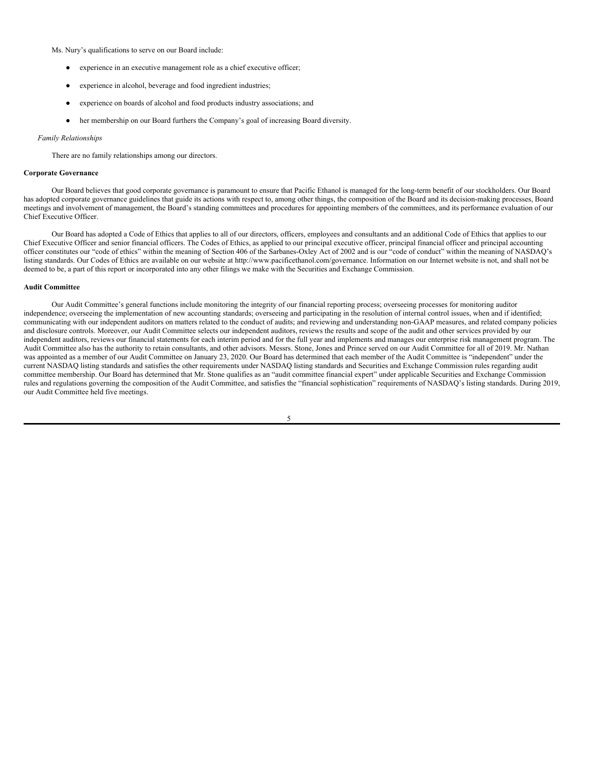Ms. Nury's qualifications to serve on our Board include:

- experience in an executive management role as a chief executive officer;
- experience in alcohol, beverage and food ingredient industries;
- experience on boards of alcohol and food products industry associations; and
- her membership on our Board furthers the Company's goal of increasing Board diversity.

#### *Family Relationships*

There are no family relationships among our directors.

## **Corporate Governance**

Our Board believes that good corporate governance is paramount to ensure that Pacific Ethanol is managed for the long-term benefit of our stockholders. Our Board has adopted corporate governance guidelines that guide its actions with respect to, among other things, the composition of the Board and its decision-making processes, Board meetings and involvement of management, the Board's standing committees and procedures for appointing members of the committees, and its performance evaluation of our Chief Executive Officer.

Our Board has adopted a Code of Ethics that applies to all of our directors, officers, employees and consultants and an additional Code of Ethics that applies to our Chief Executive Officer and senior financial officers. The Codes of Ethics, as applied to our principal executive officer, principal financial officer and principal accounting officer constitutes our "code of ethics" within the meaning of Section 406 of the Sarbanes-Oxley Act of 2002 and is our "code of conduct" within the meaning of NASDAQ's listing standards. Our Codes of Ethics are available on our website at http://www.pacificethanol.com/governance. Information on our Internet website is not, and shall not be deemed to be, a part of this report or incorporated into any other filings we make with the Securities and Exchange Commission.

#### **Audit Committee**

Our Audit Committee's general functions include monitoring the integrity of our financial reporting process; overseeing processes for monitoring auditor independence; overseeing the implementation of new accounting standards; overseeing and participating in the resolution of internal control issues, when and if identified; communicating with our independent auditors on matters related to the conduct of audits; and reviewing and understanding non-GAAP measures, and related company policies and disclosure controls. Moreover, our Audit Committee selects our independent auditors, reviews the results and scope of the audit and other services provided by our independent auditors, reviews our financial statements for each interim period and for the full year and implements and manages our enterprise risk management program. The Audit Committee also has the authority to retain consultants, and other advisors. Messrs. Stone, Jones and Prince served on our Audit Committee for all of 2019. Mr. Nathan was appointed as a member of our Audit Committee on January 23, 2020. Our Board has determined that each member of the Audit Committee is "independent" under the current NASDAQ listing standards and satisfies the other requirements under NASDAQ listing standards and Securities and Exchange Commission rules regarding audit committee membership. Our Board has determined that Mr. Stone qualifies as an "audit committee financial expert" under applicable Securities and Exchange Commission rules and regulations governing the composition of the Audit Committee, and satisfies the "financial sophistication" requirements of NASDAQ's listing standards. During 2019, our Audit Committee held five meetings.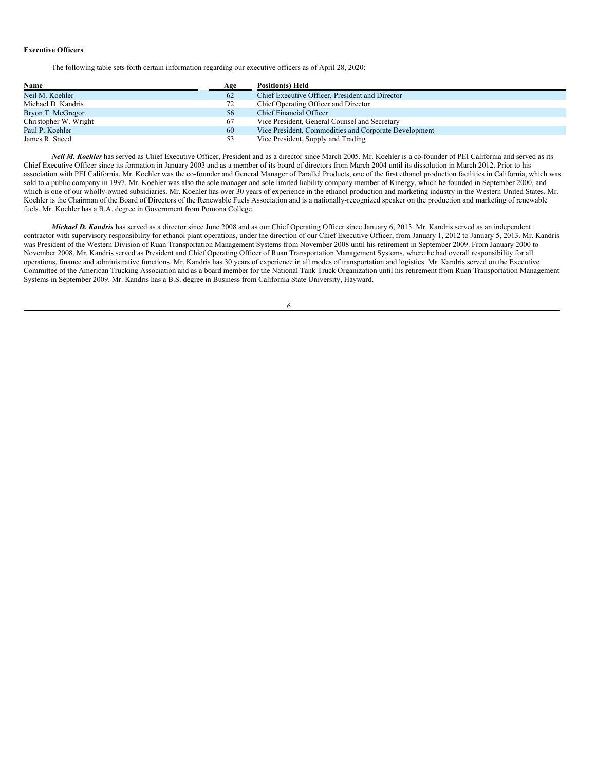## **Executive Officers**

The following table sets forth certain information regarding our executive officers as of April 28, 2020:

| Name                  | Age | Position(s) Held                                      |
|-----------------------|-----|-------------------------------------------------------|
| Neil M. Koehler       | 62  | Chief Executive Officer, President and Director       |
| Michael D. Kandris    | 72  | Chief Operating Officer and Director                  |
| Bryon T. McGregor     | 56  | Chief Financial Officer                               |
| Christopher W. Wright | 67  | Vice President, General Counsel and Secretary         |
| Paul P. Koehler       | 60  | Vice President, Commodities and Corporate Development |
| James R. Sneed        | 53  | Vice President, Supply and Trading                    |

*Neil M. Koehler* has served as Chief Executive Officer, President and as a director since March 2005. Mr. Koehler is a co-founder of PEI California and served as its Chief Executive Officer since its formation in January 2003 and as a member of its board of directors from March 2004 until its dissolution in March 2012. Prior to his association with PEI California, Mr. Koehler was the co-founder and General Manager of Parallel Products, one of the first ethanol production facilities in California, which was sold to a public company in 1997. Mr. Koehler was also the sole manager and sole limited liability company member of Kinergy, which he founded in September 2000, and which is one of our wholly-owned subsidiaries. Mr. Koehler has over 30 years of experience in the ethanol production and marketing industry in the Western United States. Mr. Koehler is the Chairman of the Board of Directors of the Renewable Fuels Association and is a nationally-recognized speaker on the production and marketing of renewable fuels. Mr. Koehler has a B.A. degree in Government from Pomona College.

*Michael D. Kandris* has served as a director since June 2008 and as our Chief Operating Officer since January 6, 2013. Mr. Kandris served as an independent contractor with supervisory responsibility for ethanol plant operations, under the direction of our Chief Executive Officer, from January 1, 2012 to January 5, 2013. Mr. Kandris was President of the Western Division of Ruan Transportation Management Systems from November 2008 until his retirement in September 2009. From January 2000 to November 2008, Mr. Kandris served as President and Chief Operating Officer of Ruan Transportation Management Systems, where he had overall responsibility for all operations, finance and administrative functions. Mr. Kandris has 30 years of experience in all modes of transportation and logistics. Mr. Kandris served on the Executive Committee of the American Trucking Association and as a board member for the National Tank Truck Organization until his retirement from Ruan Transportation Management Systems in September 2009. Mr. Kandris has a B.S. degree in Business from California State University, Hayward.

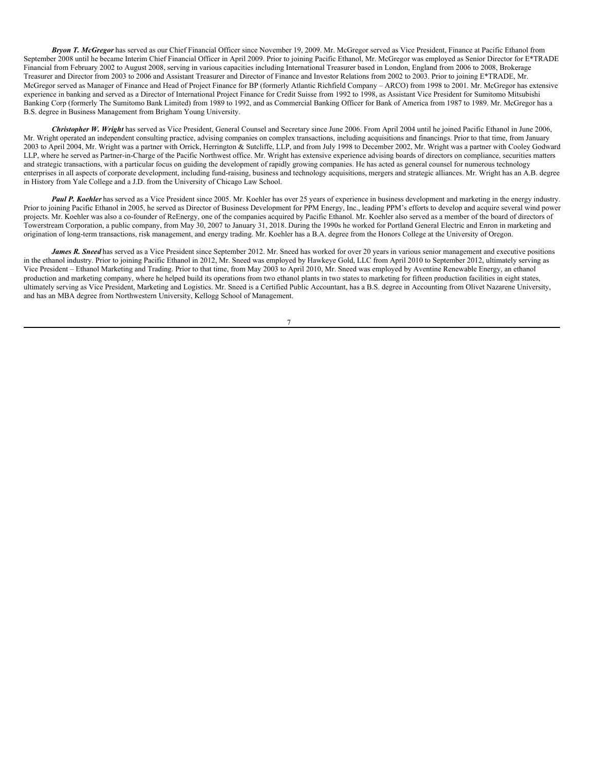*Bryon T. McGregor* has served as our Chief Financial Officer since November 19, 2009. Mr. McGregor served as Vice President, Finance at Pacific Ethanol from September 2008 until he became Interim Chief Financial Officer in April 2009. Prior to joining Pacific Ethanol, Mr. McGregor was employed as Senior Director for E\*TRADE Financial from February 2002 to August 2008, serving in various capacities including International Treasurer based in London, England from 2006 to 2008, Brokerage Treasurer and Director from 2003 to 2006 and Assistant Treasurer and Director of Finance and Investor Relations from 2002 to 2003. Prior to joining E\*TRADE, Mr. McGregor served as Manager of Finance and Head of Project Finance for BP (formerly Atlantic Richfield Company – ARCO) from 1998 to 2001. Mr. McGregor has extensive experience in banking and served as a Director of International Project Finance for Credit Suisse from 1992 to 1998, as Assistant Vice President for Sumitomo Mitsubishi Banking Corp (formerly The Sumitomo Bank Limited) from 1989 to 1992, and as Commercial Banking Officer for Bank of America from 1987 to 1989. Mr. McGregor has a B.S. degree in Business Management from Brigham Young University.

*Christopher W. Wright* has served as Vice President, General Counsel and Secretary since June 2006. From April 2004 until he joined Pacific Ethanol in June 2006, Mr. Wright operated an independent consulting practice, advising companies on complex transactions, including acquisitions and financings. Prior to that time, from January 2003 to April 2004, Mr. Wright was a partner with Orrick, Herrington & Sutcliffe, LLP, and from July 1998 to December 2002, Mr. Wright was a partner with Cooley Godward LLP, where he served as Partner-in-Charge of the Pacific Northwest office. Mr. Wright has extensive experience advising boards of directors on compliance, securities matters and strategic transactions, with a particular focus on guiding the development of rapidly growing companies. He has acted as general counsel for numerous technology enterprises in all aspects of corporate development, including fund-raising, business and technology acquisitions, mergers and strategic alliances. Mr. Wright has an A.B. degree in History from Yale College and a J.D. from the University of Chicago Law School.

*Paul P. Koehler* has served as a Vice President since 2005. Mr. Koehler has over 25 years of experience in business development and marketing in the energy industry. Prior to joining Pacific Ethanol in 2005, he served as Director of Business Development for PPM Energy, Inc., leading PPM's efforts to develop and acquire several wind power projects. Mr. Koehler was also a co-founder of ReEnergy, one of the companies acquired by Pacific Ethanol. Mr. Koehler also served as a member of the board of directors of Towerstream Corporation, a public company, from May 30, 2007 to January 31, 2018. During the 1990s he worked for Portland General Electric and Enron in marketing and origination of long-term transactions, risk management, and energy trading. Mr. Koehler has a B.A. degree from the Honors College at the University of Oregon.

*James R. Sneed* has served as a Vice President since September 2012. Mr. Sneed has worked for over 20 years in various senior management and executive positions in the ethanol industry. Prior to joining Pacific Ethanol in 2012, Mr. Sneed was employed by Hawkeye Gold, LLC from April 2010 to September 2012, ultimately serving as Vice President – Ethanol Marketing and Trading. Prior to that time, from May 2003 to April 2010, Mr. Sneed was employed by Aventine Renewable Energy, an ethanol production and marketing company, where he helped build its operations from two ethanol plants in two states to marketing for fifteen production facilities in eight states, ultimately serving as Vice President, Marketing and Logistics. Mr. Sneed is a Certified Public Accountant, has a B.S. degree in Accounting from Olivet Nazarene University, and has an MBA degree from Northwestern University, Kellogg School of Management.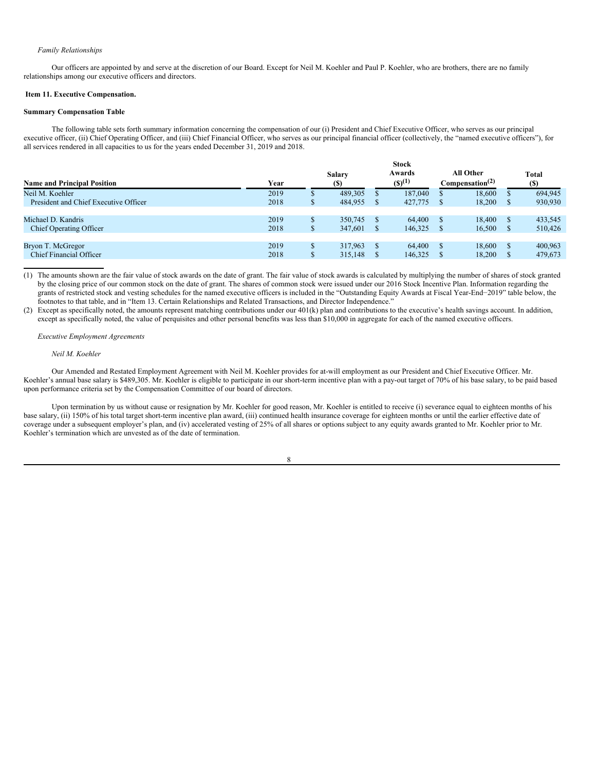#### *Family Relationships*

Our officers are appointed by and serve at the discretion of our Board. Except for Neil M. Koehler and Paul P. Koehler, who are brothers, there are no family relationships among our executive officers and directors.

#### <span id="page-10-0"></span>**Item 11. Executive Compensation.**

## **Summary Compensation Table**

The following table sets forth summary information concerning the compensation of our (i) President and Chief Executive Officer, who serves as our principal executive officer, (ii) Chief Operating Officer, and (iii) Chief Financial Officer, who serves as our principal financial officer (collectively, the "named executive officers"), for all services rendered in all capacities to us for the years ended December 31, 2019 and 2018.

|                                       | <b>Stock</b> |              |                       |  |                       |  |                                          |              |                     |
|---------------------------------------|--------------|--------------|-----------------------|--|-----------------------|--|------------------------------------------|--------------|---------------------|
| <b>Name and Principal Position</b>    | Year         |              | Salary<br><b>(\$)</b> |  | Awards<br>$(S)^{(1)}$ |  | All Other<br>Compensation <sup>(2)</sup> |              | <b>Total</b><br>(S) |
| Neil M. Koehler                       | 2019         |              | 489,305               |  | 187,040               |  | 18.600                                   | S            | 694,945             |
| President and Chief Executive Officer | 2018         | \$           | 484,955               |  | 427,775               |  | 18.200                                   | <sup>8</sup> | 930,930             |
|                                       |              |              |                       |  |                       |  |                                          |              |                     |
| Michael D. Kandris                    | 2019         | \$           | 350,745               |  | 64,400                |  | 18,400                                   | <sup>S</sup> | 433,545             |
| Chief Operating Officer               | 2018         | $\mathbb{S}$ | 347,601               |  | 146,325               |  | 16,500                                   | <sup>S</sup> | 510,426             |
|                                       |              |              |                       |  |                       |  |                                          |              |                     |
| Bryon T. McGregor                     | 2019         | \$           | 317,963               |  | 64,400                |  | 18.600                                   | <sup>S</sup> | 400,963             |
| <b>Chief Financial Officer</b>        | 2018         | ъ            | 315,148               |  | 146,325               |  | 18.200                                   |              | 479,673             |

(1) The amounts shown are the fair value of stock awards on the date of grant. The fair value of stock awards is calculated by multiplying the number of shares of stock granted by the closing price of our common stock on the date of grant. The shares of common stock were issued under our 2016 Stock Incentive Plan. Information regarding the grants of restricted stock and vesting schedules for the named executive officers is included in the "Outstanding Equity Awards at Fiscal Year-End−2019" table below, the footnotes to that table, and in "Item 13. Certain Relationships and Related Transactions, and Director Independence."

(2) Except as specifically noted, the amounts represent matching contributions under our 401(k) plan and contributions to the executive's health savings account. In addition, except as specifically noted, the value of perquisites and other personal benefits was less than \$10,000 in aggregate for each of the named executive officers.

## *Executive Employment Agreements*

#### *Neil M. Koehler*

Our Amended and Restated Employment Agreement with Neil M. Koehler provides for at-will employment as our President and Chief Executive Officer. Mr. Koehler's annual base salary is \$489,305. Mr. Koehler is eligible to participate in our short-term incentive plan with a pay-out target of 70% of his base salary, to be paid based upon performance criteria set by the Compensation Committee of our board of directors.

Upon termination by us without cause or resignation by Mr. Koehler for good reason, Mr. Koehler is entitled to receive (i) severance equal to eighteen months of his base salary, (ii) 150% of his total target short-term incentive plan award, (iii) continued health insurance coverage for eighteen months or until the earlier effective date of coverage under a subsequent employer's plan, and (iv) accelerated vesting of 25% of all shares or options subject to any equity awards granted to Mr. Koehler prior to Mr. Koehler's termination which are unvested as of the date of termination.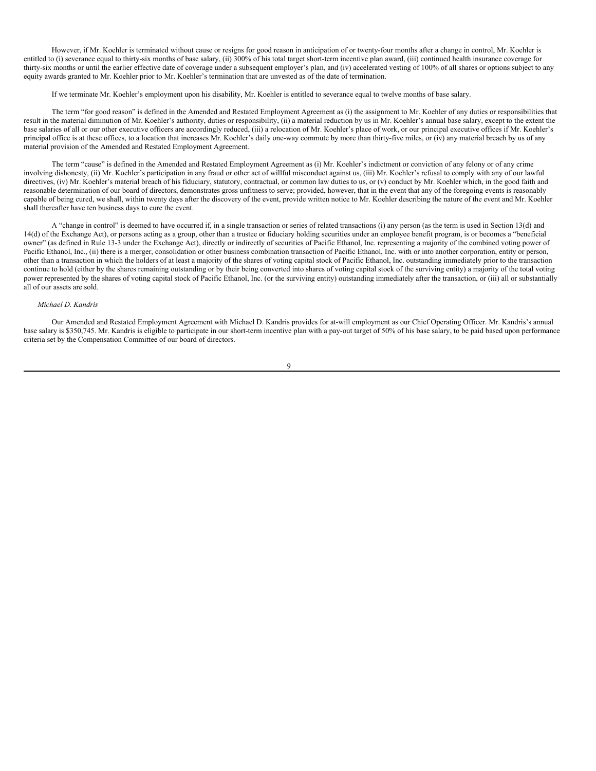However, if Mr. Koehler is terminated without cause or resigns for good reason in anticipation of or twenty-four months after a change in control, Mr. Koehler is entitled to (i) severance equal to thirty-six months of base salary, (ii) 300% of his total target short-term incentive plan award, (iii) continued health insurance coverage for thirty-six months or until the earlier effective date of coverage under a subsequent employer's plan, and (iv) accelerated vesting of 100% of all shares or options subject to any equity awards granted to Mr. Koehler prior to Mr. Koehler's termination that are unvested as of the date of termination.

If we terminate Mr. Koehler's employment upon his disability, Mr. Koehler is entitled to severance equal to twelve months of base salary.

The term "for good reason" is defined in the Amended and Restated Employment Agreement as (i) the assignment to Mr. Koehler of any duties or responsibilities that result in the material diminution of Mr. Koehler's authority, duties or responsibility, (ii) a material reduction by us in Mr. Koehler's annual base salary, except to the extent the base salaries of all or our other executive officers are accordingly reduced, (iii) a relocation of Mr. Koehler's place of work, or our principal executive offices if Mr. Koehler's principal office is at these offices, to a location that increases Mr. Koehler's daily one-way commute by more than thirty-five miles, or (iv) any material breach by us of any material provision of the Amended and Restated Employment Agreement.

The term "cause" is defined in the Amended and Restated Employment Agreement as (i) Mr. Koehler's indictment or conviction of any felony or of any crime involving dishonesty, (ii) Mr. Koehler's participation in any fraud or other act of willful misconduct against us, (iii) Mr. Koehler's refusal to comply with any of our lawful directives, (iv) Mr. Koehler's material breach of his fiduciary, statutory, contractual, or common law duties to us, or (v) conduct by Mr. Koehler which, in the good faith and reasonable determination of our board of directors, demonstrates gross unfitness to serve; provided, however, that in the event that any of the foregoing events is reasonably capable of being cured, we shall, within twenty days after the discovery of the event, provide written notice to Mr. Koehler describing the nature of the event and Mr. Koehler shall thereafter have ten business days to cure the event.

A "change in control" is deemed to have occurred if, in a single transaction or series of related transactions (i) any person (as the term is used in Section 13(d) and 14(d) of the Exchange Act), or persons acting as a group, other than a trustee or fiduciary holding securities under an employee benefit program, is or becomes a "beneficial owner" (as defined in Rule 13-3 under the Exchange Act), directly or indirectly of securities of Pacific Ethanol, Inc. representing a majority of the combined voting power of Pacific Ethanol, Inc., (ii) there is a merger, consolidation or other business combination transaction of Pacific Ethanol, Inc. with or into another corporation, entity or person, other than a transaction in which the holders of at least a majority of the shares of voting capital stock of Pacific Ethanol, Inc. outstanding immediately prior to the transaction continue to hold (either by the shares remaining outstanding or by their being converted into shares of voting capital stock of the surviving entity) a majority of the total voting power represented by the shares of voting capital stock of Pacific Ethanol, Inc. (or the surviving entity) outstanding immediately after the transaction, or (iii) all or substantially all of our assets are sold.

## *Michael D. Kandris*

Our Amended and Restated Employment Agreement with Michael D. Kandris provides for at-will employment as our Chief Operating Officer. Mr. Kandris's annual base salary is \$350,745. Mr. Kandris is eligible to participate in our short-term incentive plan with a pay-out target of 50% of his base salary, to be paid based upon performance criteria set by the Compensation Committee of our board of directors.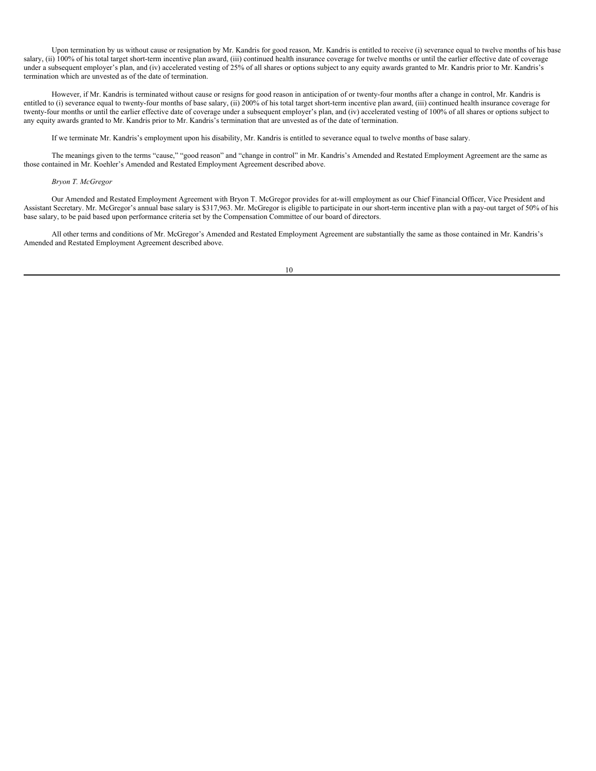Upon termination by us without cause or resignation by Mr. Kandris for good reason, Mr. Kandris is entitled to receive (i) severance equal to twelve months of his base salary, (ii) 100% of his total target short-term incentive plan award, (iii) continued health insurance coverage for twelve months or until the earlier effective date of coverage under a subsequent employer's plan, and (iv) accelerated vesting of 25% of all shares or options subject to any equity awards granted to Mr. Kandris prior to Mr. Kandris's termination which are unvested as of the date of termination.

However, if Mr. Kandris is terminated without cause or resigns for good reason in anticipation of or twenty-four months after a change in control, Mr. Kandris is entitled to (i) severance equal to twenty-four months of base salary, (ii) 200% of his total target short-term incentive plan award, (iii) continued health insurance coverage for twenty-four months or until the earlier effective date of coverage under a subsequent employer's plan, and (iv) accelerated vesting of 100% of all shares or options subject to any equity awards granted to Mr. Kandris prior to Mr. Kandris's termination that are unvested as of the date of termination.

If we terminate Mr. Kandris's employment upon his disability, Mr. Kandris is entitled to severance equal to twelve months of base salary.

The meanings given to the terms "cause," "good reason" and "change in control" in Mr. Kandris's Amended and Restated Employment Agreement are the same as those contained in Mr. Koehler's Amended and Restated Employment Agreement described above.

## *Bryon T. McGregor*

Our Amended and Restated Employment Agreement with Bryon T. McGregor provides for at-will employment as our Chief Financial Officer, Vice President and Assistant Secretary. Mr. McGregor's annual base salary is \$317,963. Mr. McGregor is eligible to participate in our short-term incentive plan with a pay-out target of 50% of his base salary, to be paid based upon performance criteria set by the Compensation Committee of our board of directors.

All other terms and conditions of Mr. McGregor's Amended and Restated Employment Agreement are substantially the same as those contained in Mr. Kandris's Amended and Restated Employment Agreement described above.

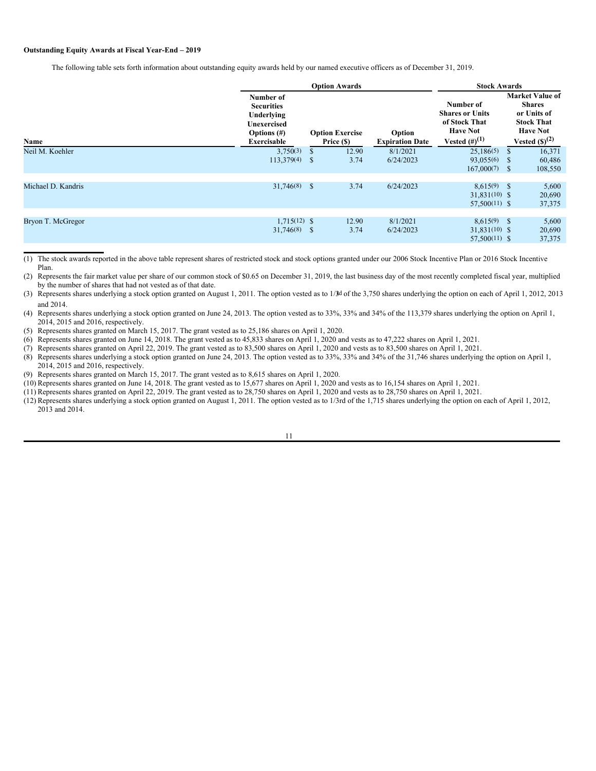## **Outstanding Equity Awards at Fiscal Year-End – 2019**

The following table sets forth information about outstanding equity awards held by our named executive officers as of December 31, 2019.

|                    |                                                                                                     | <b>Option Awards</b>                 |               |                                  |                                                                                                       |                           | <b>Stock Awards</b>                                                                                                  |  |  |
|--------------------|-----------------------------------------------------------------------------------------------------|--------------------------------------|---------------|----------------------------------|-------------------------------------------------------------------------------------------------------|---------------------------|----------------------------------------------------------------------------------------------------------------------|--|--|
| Name               | Number of<br><b>Securities</b><br>Underlying<br>Unexercised<br>Options $(\#)$<br><b>Exercisable</b> | <b>Option Exercise</b><br>Price (\$) |               | Option<br><b>Expiration Date</b> | Number of<br><b>Shares or Units</b><br>of Stock That<br><b>Have Not</b><br><b>Vested</b> $(\#)^{(1)}$ |                           | <b>Market Value of</b><br><b>Shares</b><br>or Units of<br><b>Stock That</b><br><b>Have Not</b><br>Vested $(S)^{(2)}$ |  |  |
| Neil M. Koehler    | 3,750(3)<br>113,379(4)                                                                              | S<br><sup>\$</sup>                   | 12.90<br>3.74 | 8/1/2021<br>6/24/2023            | 25,186(5)<br>93,055(6)<br>167,000(7)                                                                  | <sup>\$</sup><br>-S<br>-S | 16,371<br>60,486<br>108,550                                                                                          |  |  |
| Michael D. Kandris | $31,746(8)$ \$                                                                                      |                                      | 3.74          | 6/24/2023                        | $8.615(9)$ \$<br>$31.831(10)$ \$<br>$57.500(11)$ \$                                                   |                           | 5,600<br>20,690<br>37,375                                                                                            |  |  |
| Bryon T. McGregor  | $1.715(12)$ \$<br>$31,746(8)$ \$                                                                    |                                      | 12.90<br>3.74 | 8/1/2021<br>6/24/2023            | $8.615(9)$ \$<br>$31,831(10)$ \$<br>$57,500(11)$ \$                                                   |                           | 5,600<br>20,690<br>37,375                                                                                            |  |  |

(1) The stock awards reported in the above table represent shares of restricted stock and stock options granted under our 2006 Stock Incentive Plan or 2016 Stock Incentive Plan.

(2) Represents the fair market value per share of our common stock of \$0.65 on December 31, 2019, the last business day of the most recently completed fiscal year, multiplied by the number of shares that had not vested as of that date.

(3) Represents shares underlying a stock option granted on August 1, 2011. The option vested as to 1/3d of the 3,750 shares underlying the option on each of April 1, 2012, 2013 and 2014.

(4) Represents shares underlying a stock option granted on June 24, 2013. The option vested as to 33%, 33% and 34% of the 113,379 shares underlying the option on April 1, 2014, 2015 and 2016, respectively.

(5) Represents shares granted on March 15, 2017. The grant vested as to 25,186 shares on April 1, 2020.

(6) Represents shares granted on June 14, 2018. The grant vested as to 45,833 shares on April 1, 2020 and vests as to 47,222 shares on April 1, 2021.

(7) Represents shares granted on April 22, 2019. The grant vested as to 83,500 shares on April 1, 2020 and vests as to 83,500 shares on April 1, 2021.

(8) Represents shares underlying a stock option granted on June 24, 2013. The option vested as to 33%, 33% and 34% of the 31,746 shares underlying the option on April 1, 2014, 2015 and 2016, respectively.

(9) Represents shares granted on March 15, 2017. The grant vested as to 8,615 shares on April 1, 2020.

(10) Represents shares granted on June 14, 2018. The grant vested as to 15,677 shares on April 1, 2020 and vests as to 16,154 shares on April 1, 2021.

 $(11)$  Represents shares granted on April 22, 2019. The grant vested as to 28,750 shares on April 1, 2020 and vests as to 28,750 shares on April 1, 2021.

(12) Represents shares underlying a stock option granted on August 1, 2011. The option vested as to 1/3rd of the 1,715 shares underlying the option on each of April 1, 2012, 2013 and 2014.

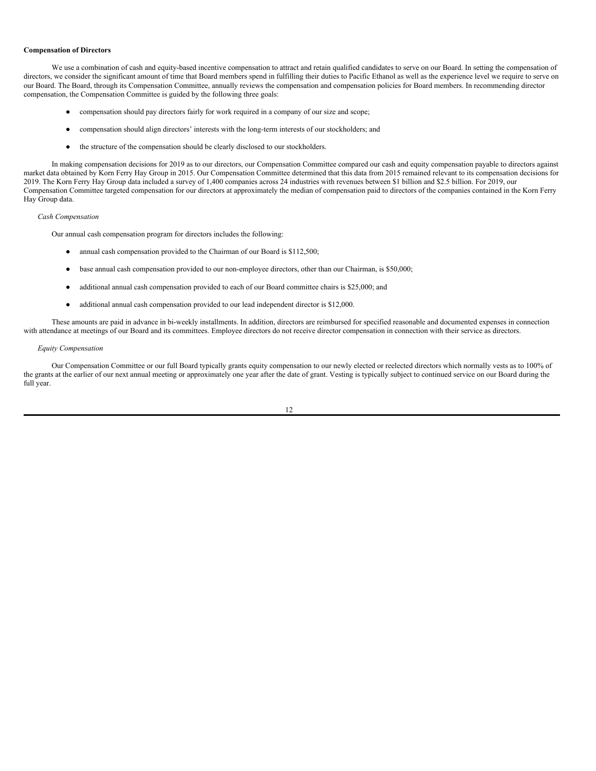#### **Compensation of Directors**

We use a combination of cash and equity-based incentive compensation to attract and retain qualified candidates to serve on our Board. In setting the compensation of directors, we consider the significant amount of time that Board members spend in fulfilling their duties to Pacific Ethanol as well as the experience level we require to serve on our Board. The Board, through its Compensation Committee, annually reviews the compensation and compensation policies for Board members. In recommending director compensation, the Compensation Committee is guided by the following three goals:

- compensation should pay directors fairly for work required in a company of our size and scope;
- compensation should align directors' interests with the long-term interests of our stockholders; and
- the structure of the compensation should be clearly disclosed to our stockholders.

In making compensation decisions for 2019 as to our directors, our Compensation Committee compared our cash and equity compensation payable to directors against market data obtained by Korn Ferry Hay Group in 2015. Our Compensation Committee determined that this data from 2015 remained relevant to its compensation decisions for 2019. The Korn Ferry Hay Group data included a survey of 1,400 companies across 24 industries with revenues between \$1 billion and \$2.5 billion. For 2019, our Compensation Committee targeted compensation for our directors at approximately the median of compensation paid to directors of the companies contained in the Korn Ferry Hay Group data.

## *Cash Compensation*

Our annual cash compensation program for directors includes the following:

- annual cash compensation provided to the Chairman of our Board is \$112,500;
- base annual cash compensation provided to our non-employee directors, other than our Chairman, is \$50,000;
- additional annual cash compensation provided to each of our Board committee chairs is \$25,000; and
- additional annual cash compensation provided to our lead independent director is \$12,000.

These amounts are paid in advance in bi-weekly installments. In addition, directors are reimbursed for specified reasonable and documented expenses in connection with attendance at meetings of our Board and its committees. Employee directors do not receive director compensation in connection with their service as directors.

## *Equity Compensation*

Our Compensation Committee or our full Board typically grants equity compensation to our newly elected or reelected directors which normally vests as to 100% of the grants at the earlier of our next annual meeting or approximately one year after the date of grant. Vesting is typically subject to continued service on our Board during the full year.

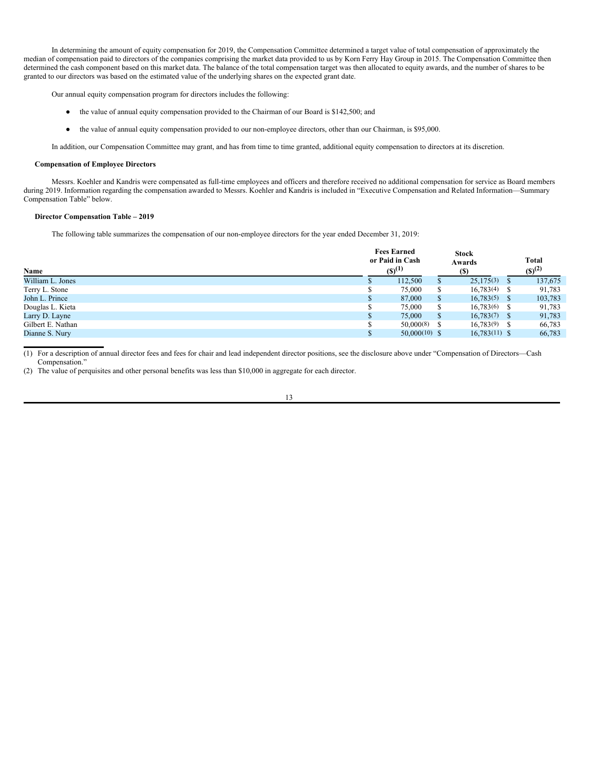In determining the amount of equity compensation for 2019, the Compensation Committee determined a target value of total compensation of approximately the median of compensation paid to directors of the companies comprising the market data provided to us by Korn Ferry Hay Group in 2015. The Compensation Committee then determined the cash component based on this market data. The balance of the total compensation target was then allocated to equity awards, and the number of shares to be granted to our directors was based on the estimated value of the underlying shares on the expected grant date.

Our annual equity compensation program for directors includes the following:

- the value of annual equity compensation provided to the Chairman of our Board is \$142,500; and
- the value of annual equity compensation provided to our non-employee directors, other than our Chairman, is \$95,000.

In addition, our Compensation Committee may grant, and has from time to time granted, additional equity compensation to directors at its discretion.

#### **Compensation of Employee Directors**

Messrs. Koehler and Kandris were compensated as full-time employees and officers and therefore received no additional compensation for service as Board members during 2019. Information regarding the compensation awarded to Messrs. Koehler and Kandris is included in "Executive Compensation and Related Information—Summary Compensation Table" below.

## **Director Compensation Table – 2019**

The following table summarizes the compensation of our non-employee directors for the year ended December 31, 2019:

| Name              | <b>Fees Earned</b><br>or Paid in Cash<br>$(S)^{(1)}$ |   | <b>Stock</b><br>Awards |    | <b>Total</b><br>$(S)^{(2)}$ |
|-------------------|------------------------------------------------------|---|------------------------|----|-----------------------------|
| William L. Jones  | 112,500                                              |   | 25,175(3)              | Ъ, | 137,675                     |
| Terry L. Stone    | 75,000                                               | S | $16,783(4)$ \$         |    | 91,783                      |
| John L. Prince    | 87,000                                               | S | $16,783(5)$ \$         |    | 103,783                     |
| Douglas L. Kieta  | 75,000                                               | S | $16,783(6)$ \$         |    | 91,783                      |
| Larry D. Layne    | 75,000                                               | S | $16,783(7)$ \$         |    | 91,783                      |
| Gilbert E. Nathan | 50,000(8)                                            |   | $16.783(9)$ \$         |    | 66,783                      |
| Dianne S. Nury    | $50,000(10)$ \$                                      |   | $16,783(11)$ \$        |    | 66,783                      |

(1) For a description of annual director fees and fees for chair and lead independent director positions, see the disclosure above under "Compensation of Directors—Cash Compensation."

(2) The value of perquisites and other personal benefits was less than \$10,000 in aggregate for each director.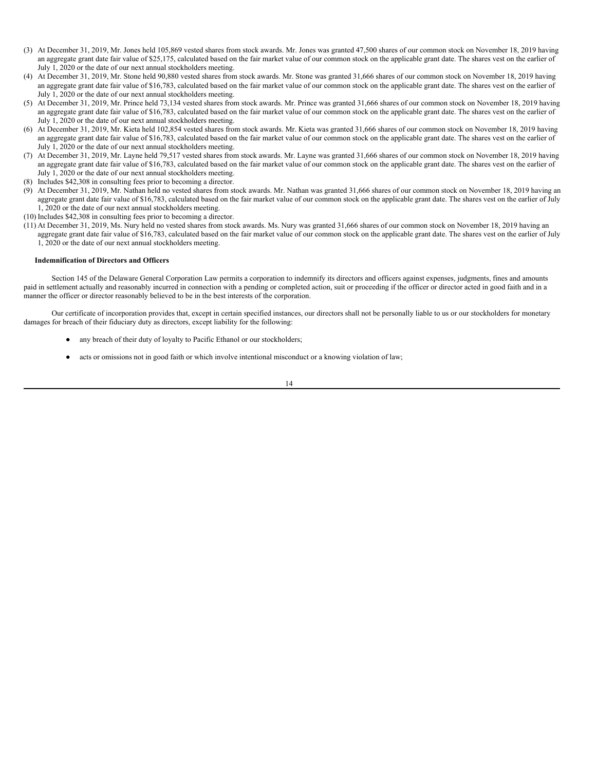- (3) At December 31, 2019, Mr. Jones held 105,869 vested shares from stock awards. Mr. Jones was granted 47,500 shares of our common stock on November 18, 2019 having an aggregate grant date fair value of \$25,175, calculated based on the fair market value of our common stock on the applicable grant date. The shares vest on the earlier of July 1, 2020 or the date of our next annual stockholders meeting.
- (4) At December 31, 2019, Mr. Stone held 90,880 vested shares from stock awards. Mr. Stone was granted 31,666 shares of our common stock on November 18, 2019 having an aggregate grant date fair value of \$16,783, calculated based on the fair market value of our common stock on the applicable grant date. The shares vest on the earlier of July 1, 2020 or the date of our next annual stockholders meeting.
- (5) At December 31, 2019, Mr. Prince held 73,134 vested shares from stock awards. Mr. Prince was granted 31,666 shares of our common stock on November 18, 2019 having an aggregate grant date fair value of \$16,783, calculated based on the fair market value of our common stock on the applicable grant date. The shares vest on the earlier of July 1, 2020 or the date of our next annual stockholders meeting.
- (6) At December 31, 2019, Mr. Kieta held 102,854 vested shares from stock awards. Mr. Kieta was granted 31,666 shares of our common stock on November 18, 2019 having an aggregate grant date fair value of \$16,783, calculated based on the fair market value of our common stock on the applicable grant date. The shares vest on the earlier of July 1, 2020 or the date of our next annual stockholders meeting.
- (7) At December 31, 2019, Mr. Layne held 79,517 vested shares from stock awards. Mr. Layne was granted 31,666 shares of our common stock on November 18, 2019 having an aggregate grant date fair value of \$16,783, calculated based on the fair market value of our common stock on the applicable grant date. The shares vest on the earlier of July 1, 2020 or the date of our next annual stockholders meeting.
- (8) Includes \$42,308 in consulting fees prior to becoming a director.
- (9) At December 31, 2019, Mr. Nathan held no vested shares from stock awards. Mr. Nathan was granted 31,666 shares of our common stock on November 18, 2019 having an aggregate grant date fair value of \$16,783, calculated based on the fair market value of our common stock on the applicable grant date. The shares vest on the earlier of July 1, 2020 or the date of our next annual stockholders meeting.
- (10) Includes \$42,308 in consulting fees prior to becoming a director.
- (11) At December 31, 2019, Ms. Nury held no vested shares from stock awards. Ms. Nury was granted 31,666 shares of our common stock on November 18, 2019 having an aggregate grant date fair value of \$16,783, calculated based on the fair market value of our common stock on the applicable grant date. The shares vest on the earlier of July 1, 2020 or the date of our next annual stockholders meeting.

#### **Indemnification of Directors and Officers**

Section 145 of the Delaware General Corporation Law permits a corporation to indemnify its directors and officers against expenses, judgments, fines and amounts paid in settlement actually and reasonably incurred in connection with a pending or completed action, suit or proceeding if the officer or director acted in good faith and in a manner the officer or director reasonably believed to be in the best interests of the corporation.

Our certificate of incorporation provides that, except in certain specified instances, our directors shall not be personally liable to us or our stockholders for monetary damages for breach of their fiduciary duty as directors, except liability for the following:

- any breach of their duty of loyalty to Pacific Ethanol or our stockholders;
- acts or omissions not in good faith or which involve intentional misconduct or a knowing violation of law;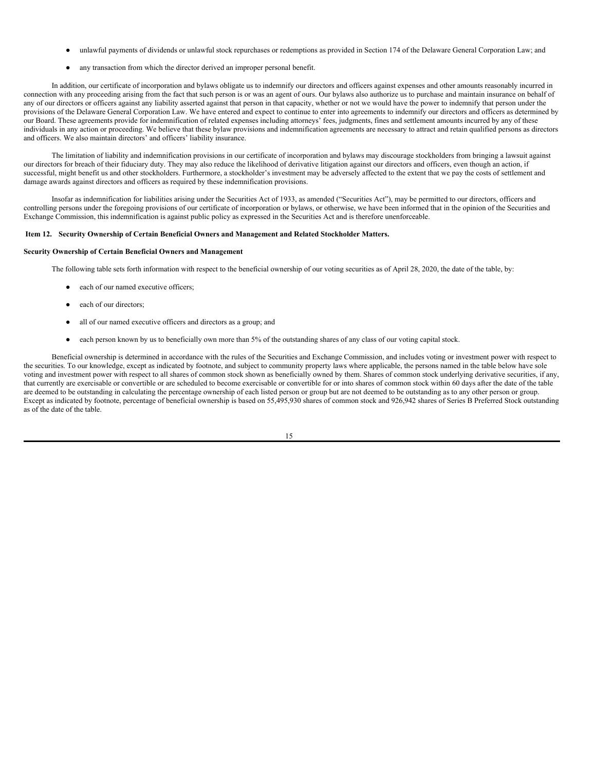- unlawful payments of dividends or unlawful stock repurchases or redemptions as provided in Section 174 of the Delaware General Corporation Law; and
- any transaction from which the director derived an improper personal benefit.

In addition, our certificate of incorporation and bylaws obligate us to indemnify our directors and officers against expenses and other amounts reasonably incurred in connection with any proceeding arising from the fact that such person is or was an agent of ours. Our bylaws also authorize us to purchase and maintain insurance on behalf of any of our directors or officers against any liability asserted against that person in that capacity, whether or not we would have the power to indemnify that person under the provisions of the Delaware General Corporation Law. We have entered and expect to continue to enter into agreements to indemnify our directors and officers as determined by our Board. These agreements provide for indemnification of related expenses including attorneys' fees, judgments, fines and settlement amounts incurred by any of these individuals in any action or proceeding. We believe that these bylaw provisions and indemnification agreements are necessary to attract and retain qualified persons as directors and officers. We also maintain directors' and officers' liability insurance.

The limitation of liability and indemnification provisions in our certificate of incorporation and bylaws may discourage stockholders from bringing a lawsuit against our directors for breach of their fiduciary duty. They may also reduce the likelihood of derivative litigation against our directors and officers, even though an action, if successful, might benefit us and other stockholders. Furthermore, a stockholder's investment may be adversely affected to the extent that we pay the costs of settlement and damage awards against directors and officers as required by these indemnification provisions.

Insofar as indemnification for liabilities arising under the Securities Act of 1933, as amended ("Securities Act"), may be permitted to our directors, officers and controlling persons under the foregoing provisions of our certificate of incorporation or bylaws, or otherwise, we have been informed that in the opinion of the Securities and Exchange Commission, this indemnification is against public policy as expressed in the Securities Act and is therefore unenforceable.

## <span id="page-17-0"></span>**Item 12. Security Ownership of Certain Beneficial Owners and Management and Related Stockholder Matters.**

## **Security Ownership of Certain Beneficial Owners and Management**

The following table sets forth information with respect to the beneficial ownership of our voting securities as of April 28, 2020, the date of the table, by:

- each of our named executive officers:
- each of our directors;
- all of our named executive officers and directors as a group; and
- each person known by us to beneficially own more than 5% of the outstanding shares of any class of our voting capital stock.

Beneficial ownership is determined in accordance with the rules of the Securities and Exchange Commission, and includes voting or investment power with respect to the securities. To our knowledge, except as indicated by footnote, and subject to community property laws where applicable, the persons named in the table below have sole voting and investment power with respect to all shares of common stock shown as beneficially owned by them. Shares of common stock underlying derivative securities, if any, that currently are exercisable or convertible or are scheduled to become exercisable or convertible for or into shares of common stock within 60 days after the date of the table are deemed to be outstanding in calculating the percentage ownership of each listed person or group but are not deemed to be outstanding as to any other person or group. Except as indicated by footnote, percentage of beneficial ownership is based on 55,495,930 shares of common stock and 926,942 shares of Series B Preferred Stock outstanding as of the date of the table.

| ۰.<br>×<br>۰, |  |
|---------------|--|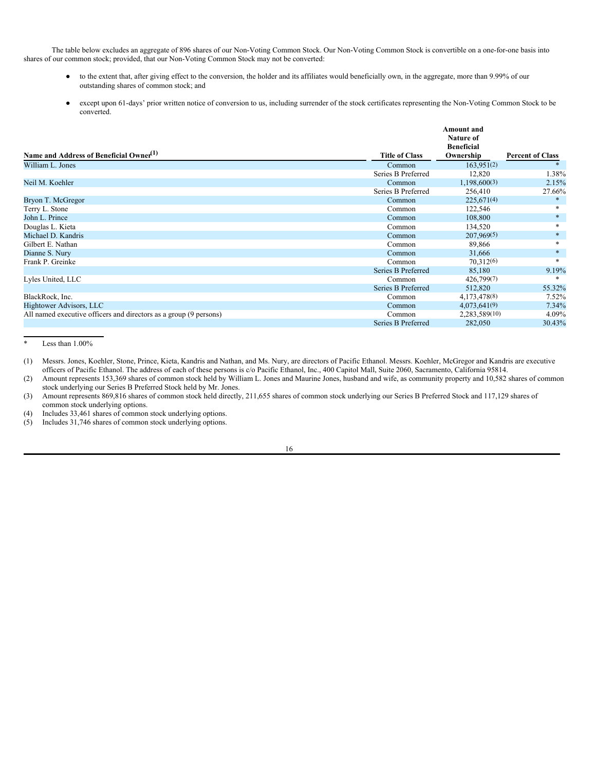The table below excludes an aggregate of 896 shares of our Non-Voting Common Stock. Our Non-Voting Common Stock is convertible on a one-for-one basis into shares of our common stock; provided, that our Non-Voting Common Stock may not be converted:

- to the extent that, after giving effect to the conversion, the holder and its affiliates would beneficially own, in the aggregate, more than 9.99% of our outstanding shares of common stock; and
- except upon 61-days' prior written notice of conversion to us, including surrender of the stock certificates representing the Non-Voting Common Stock to be converted.

|                                                                   |                       | Amount and<br>Nature of        |                         |
|-------------------------------------------------------------------|-----------------------|--------------------------------|-------------------------|
| Name and Address of Beneficial Owner <sup>(1)</sup>               | <b>Title of Class</b> | <b>Beneficial</b><br>Ownership | <b>Percent of Class</b> |
| William L. Jones                                                  | Common                | 163,951(2)                     |                         |
|                                                                   | Series B Preferred    | 12,820                         | 1.38%                   |
| Neil M. Koehler                                                   | Common                | 1,198,600(3)                   | 2.15%                   |
|                                                                   | Series B Preferred    | 256,410                        | 27.66%                  |
| Bryon T. McGregor                                                 | Common                | 225,671(4)                     | $*$                     |
| Terry L. Stone                                                    | Common                | 122,546                        | $*$                     |
| John L. Prince                                                    | Common                | 108,800                        | $\ast$                  |
| Douglas L. Kieta                                                  | Common                | 134,520                        | *                       |
| Michael D. Kandris                                                | Common                | 207,969(5)                     | $\ast$                  |
| Gilbert E. Nathan                                                 | Common                | 89,866                         | $\ast$                  |
| Dianne S. Nury                                                    | Common                | 31,666                         | $\ast$                  |
| Frank P. Greinke                                                  | Common                | 70.312(6)                      |                         |
|                                                                   | Series B Preferred    | 85,180                         | 9.19%                   |
| Lyles United, LLC                                                 | Common                | 426,799(7)                     |                         |
|                                                                   | Series B Preferred    | 512,820                        | 55.32%                  |
| BlackRock, Inc.                                                   | Common                | 4,173,478(8)                   | $7.52\%$                |
| Hightower Advisors, LLC                                           | Common                | 4,073,641(9)                   | 7.34%                   |
| All named executive officers and directors as a group (9 persons) | Common                | 2,283,589(10)                  | 4.09%                   |
|                                                                   | Series B Preferred    | 282,050                        | 30.43%                  |

Less than  $1.00\%$ 

(1) Messrs. Jones, Koehler, Stone, Prince, Kieta, Kandris and Nathan, and Ms. Nury, are directors of Pacific Ethanol. Messrs. Koehler, McGregor and Kandris are executive officers of Pacific Ethanol. The address of each of these persons is c/o Pacific Ethanol, Inc., 400 Capitol Mall, Suite 2060, Sacramento, California 95814.

(2) Amount represents 153,369 shares of common stock held by William L. Jones and Maurine Jones, husband and wife, as community property and 10,582 shares of common stock underlying our Series B Preferred Stock held by Mr. Jones.

(3) Amount represents 869,816 shares of common stock held directly, 211,655 shares of common stock underlying our Series B Preferred Stock and 117,129 shares of common stock underlying options.

(4) Includes 33,461 shares of common stock underlying options.

(5) Includes 31,746 shares of common stock underlying options.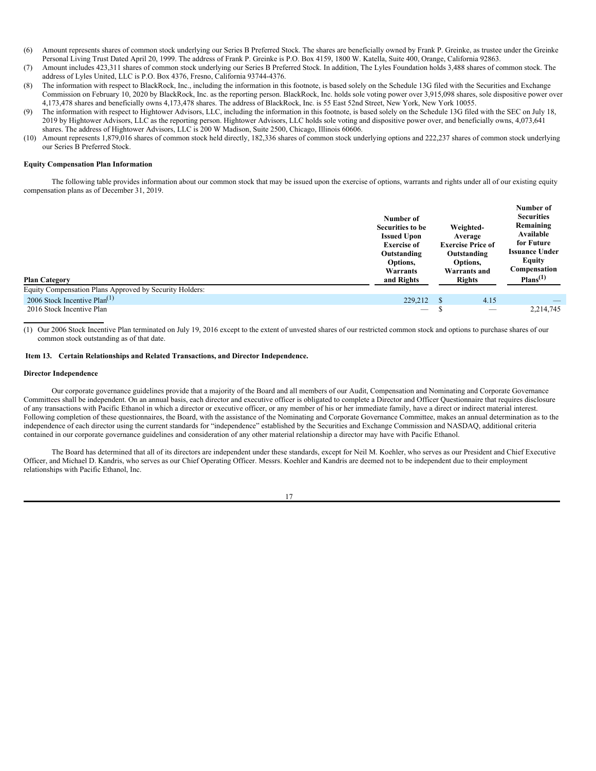- (6) Amount represents shares of common stock underlying our Series B Preferred Stock. The shares are beneficially owned by Frank P. Greinke, as trustee under the Greinke Personal Living Trust Dated April 20, 1999. The address of Frank P. Greinke is P.O. Box 4159, 1800 W. Katella, Suite 400, Orange, California 92863.
- (7) Amount includes 423,311 shares of common stock underlying our Series B Preferred Stock. In addition, The Lyles Foundation holds 3,488 shares of common stock. The address of Lyles United, LLC is P.O. Box 4376, Fresno, California 93744-4376.
- (8) The information with respect to BlackRock, Inc., including the information in this footnote, is based solely on the Schedule 13G filed with the Securities and Exchange Commission on February 10, 2020 by BlackRock, Inc. as the reporting person. BlackRock, Inc. holds sole voting power over 3,915,098 shares, sole dispositive power over 4,173,478 shares and beneficially owns 4,173,478 shares. The address of BlackRock, Inc. is 55 East 52nd Street, New York, New York 10055.
- (9) The information with respect to Hightower Advisors, LLC, including the information in this footnote, is based solely on the Schedule 13G filed with the SEC on July 18, 2019 by Hightower Advisors, LLC as the reporting person. Hightower Advisors, LLC holds sole voting and dispositive power over, and beneficially owns, 4,073,641 shares. The address of Hightower Advisors, LLC is 200 W Madison, Suite 2500, Chicago, Illinois 60606.
- (10) Amount represents 1,879,016 shares of common stock held directly, 182,336 shares of common stock underlying options and 222,237 shares of common stock underlying our Series B Preferred Stock.

#### **Equity Compensation Plan Information**

The following table provides information about our common stock that may be issued upon the exercise of options, warrants and rights under all of our existing equity compensation plans as of December 31, 2019.

| <b>Plan Category</b><br>Equity Compensation Plans Approved by Security Holders: | Number of<br>Securities to be<br><b>Issued Upon</b><br><b>Exercise of</b><br>Outstanding<br>Options,<br>Warrants<br>and Rights | Weighted-<br>Average<br><b>Exercise Price of</b><br>Outstanding<br>Options,<br>Warrants and<br><b>Rights</b> | Number of<br><b>Securities</b><br>Remaining<br>Available<br>for Future<br><b>Issuance Under</b><br>Equity<br>Compensation<br>Plans <sup>(1)</sup> |
|---------------------------------------------------------------------------------|--------------------------------------------------------------------------------------------------------------------------------|--------------------------------------------------------------------------------------------------------------|---------------------------------------------------------------------------------------------------------------------------------------------------|
| 2006 Stock Incentive Plan <sup>(1)</sup>                                        | 229,212                                                                                                                        | 4.15                                                                                                         |                                                                                                                                                   |
| 2016 Stock Incentive Plan                                                       | $\hspace{0.1mm}-\hspace{0.1mm}$                                                                                                | $\overline{\phantom{a}}$                                                                                     | 2,214,745                                                                                                                                         |

(1) Our 2006 Stock Incentive Plan terminated on July 19, 2016 except to the extent of unvested shares of our restricted common stock and options to purchase shares of our common stock outstanding as of that date.

#### <span id="page-19-0"></span>**Item 13. Certain Relationships and Related Transactions, and Director Independence.**

## **Director Independence**

Our corporate governance guidelines provide that a majority of the Board and all members of our Audit, Compensation and Nominating and Corporate Governance Committees shall be independent. On an annual basis, each director and executive officer is obligated to complete a Director and Officer Questionnaire that requires disclosure of any transactions with Pacific Ethanol in which a director or executive officer, or any member of his or her immediate family, have a direct or indirect material interest. Following completion of these questionnaires, the Board, with the assistance of the Nominating and Corporate Governance Committee, makes an annual determination as to the independence of each director using the current standards for "independence" established by the Securities and Exchange Commission and NASDAQ, additional criteria contained in our corporate governance guidelines and consideration of any other material relationship a director may have with Pacific Ethanol.

The Board has determined that all of its directors are independent under these standards, except for Neil M. Koehler, who serves as our President and Chief Executive Officer, and Michael D. Kandris, who serves as our Chief Operating Officer. Messrs. Koehler and Kandris are deemed not to be independent due to their employment relationships with Pacific Ethanol, Inc.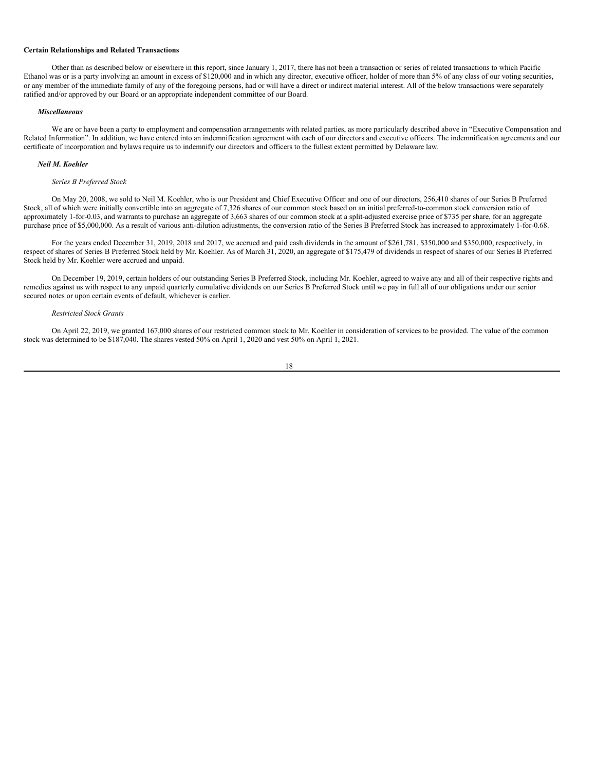#### **Certain Relationships and Related Transactions**

Other than as described below or elsewhere in this report, since January 1, 2017, there has not been a transaction or series of related transactions to which Pacific Ethanol was or is a party involving an amount in excess of \$120,000 and in which any director, executive officer, holder of more than 5% of any class of our voting securities, or any member of the immediate family of any of the foregoing persons, had or will have a direct or indirect material interest. All of the below transactions were separately ratified and/or approved by our Board or an appropriate independent committee of our Board.

## *Miscellaneous*

We are or have been a party to employment and compensation arrangements with related parties, as more particularly described above in "Executive Compensation and Related Information". In addition, we have entered into an indemnification agreement with each of our directors and executive officers. The indemnification agreements and our certificate of incorporation and bylaws require us to indemnify our directors and officers to the fullest extent permitted by Delaware law.

#### *Neil M. Koehler*

## *Series B Preferred Stock*

On May 20, 2008, we sold to Neil M. Koehler, who is our President and Chief Executive Officer and one of our directors, 256,410 shares of our Series B Preferred Stock, all of which were initially convertible into an aggregate of 7,326 shares of our common stock based on an initial preferred-to-common stock conversion ratio of approximately 1-for-0.03, and warrants to purchase an aggregate of 3,663 shares of our common stock at a split-adjusted exercise price of \$735 per share, for an aggregate purchase price of \$5,000,000. As a result of various anti-dilution adjustments, the conversion ratio of the Series B Preferred Stock has increased to approximately 1-for-0.68.

For the years ended December 31, 2019, 2018 and 2017, we accrued and paid cash dividends in the amount of \$261,781, \$350,000 and \$350,000, respectively, in respect of shares of Series B Preferred Stock held by Mr. Koehler. As of March 31, 2020, an aggregate of \$175,479 of dividends in respect of shares of our Series B Preferred Stock held by Mr. Koehler were accrued and unpaid.

On December 19, 2019, certain holders of our outstanding Series B Preferred Stock, including Mr. Koehler, agreed to waive any and all of their respective rights and remedies against us with respect to any unpaid quarterly cumulative dividends on our Series B Preferred Stock until we pay in full all of our obligations under our senior secured notes or upon certain events of default, whichever is earlier.

#### *Restricted Stock Grants*

On April 22, 2019, we granted 167,000 shares of our restricted common stock to Mr. Koehler in consideration of services to be provided. The value of the common stock was determined to be \$187,040. The shares vested 50% on April 1, 2020 and vest 50% on April 1, 2021.

$$
18 \\
$$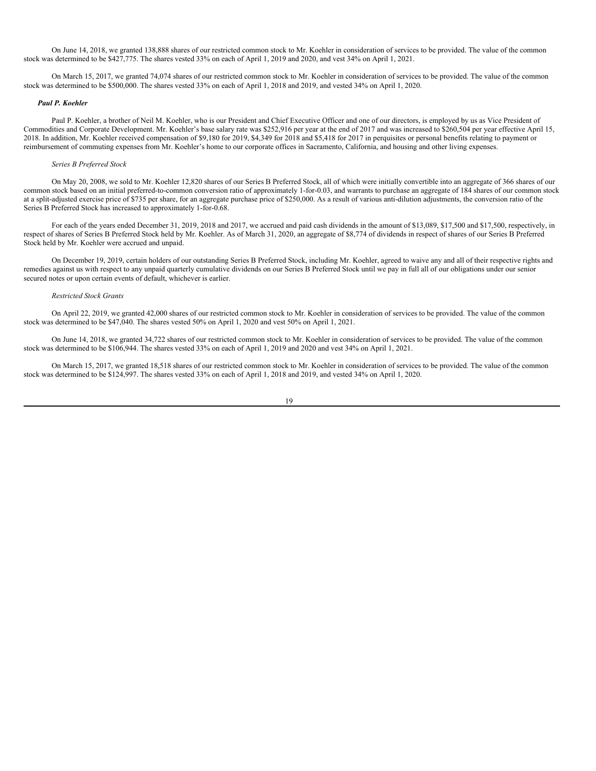On June 14, 2018, we granted 138,888 shares of our restricted common stock to Mr. Koehler in consideration of services to be provided. The value of the common stock was determined to be \$427,775. The shares vested 33% on each of April 1, 2019 and 2020, and vest 34% on April 1, 2021.

On March 15, 2017, we granted 74,074 shares of our restricted common stock to Mr. Koehler in consideration of services to be provided. The value of the common stock was determined to be \$500,000. The shares vested 33% on each of April 1, 2018 and 2019, and vested 34% on April 1, 2020.

#### *Paul P. Koehler*

Paul P. Koehler, a brother of Neil M. Koehler, who is our President and Chief Executive Officer and one of our directors, is employed by us as Vice President of Commodities and Corporate Development. Mr. Koehler's base salary rate was \$252,916 per year at the end of 2017 and was increased to \$260,504 per year effective April 15, 2018. In addition, Mr. Koehler received compensation of \$9,180 for 2019, \$4,349 for 2018 and \$5,418 for 2017 in perquisites or personal benefits relating to payment or reimbursement of commuting expenses from Mr. Koehler's home to our corporate offices in Sacramento, California, and housing and other living expenses.

#### *Series B Preferred Stock*

On May 20, 2008, we sold to Mr. Koehler 12,820 shares of our Series B Preferred Stock, all of which were initially convertible into an aggregate of 366 shares of our common stock based on an initial preferred-to-common conversion ratio of approximately 1-for-0.03, and warrants to purchase an aggregate of 184 shares of our common stock at a split-adjusted exercise price of \$735 per share, for an aggregate purchase price of \$250,000. As a result of various anti-dilution adjustments, the conversion ratio of the Series B Preferred Stock has increased to approximately 1-for-0.68.

For each of the years ended December 31, 2019, 2018 and 2017, we accrued and paid cash dividends in the amount of \$13,089, \$17,500 and \$17,500, respectively, in respect of shares of Series B Preferred Stock held by Mr. Koehler. As of March 31, 2020, an aggregate of \$8,774 of dividends in respect of shares of our Series B Preferred Stock held by Mr. Koehler were accrued and unpaid.

On December 19, 2019, certain holders of our outstanding Series B Preferred Stock, including Mr. Koehler, agreed to waive any and all of their respective rights and remedies against us with respect to any unpaid quarterly cumulative dividends on our Series B Preferred Stock until we pay in full all of our obligations under our senior secured notes or upon certain events of default, whichever is earlier.

## *Restricted Stock Grants*

On April 22, 2019, we granted 42,000 shares of our restricted common stock to Mr. Koehler in consideration of services to be provided. The value of the common stock was determined to be \$47,040. The shares vested 50% on April 1, 2020 and vest 50% on April 1, 2021.

On June 14, 2018, we granted 34,722 shares of our restricted common stock to Mr. Koehler in consideration of services to be provided. The value of the common stock was determined to be \$106,944. The shares vested 33% on each of April 1, 2019 and 2020 and vest 34% on April 1, 2021.

On March 15, 2017, we granted 18,518 shares of our restricted common stock to Mr. Koehler in consideration of services to be provided. The value of the common stock was determined to be \$124,997. The shares vested 33% on each of April 1, 2018 and 2019, and vested 34% on April 1, 2020.

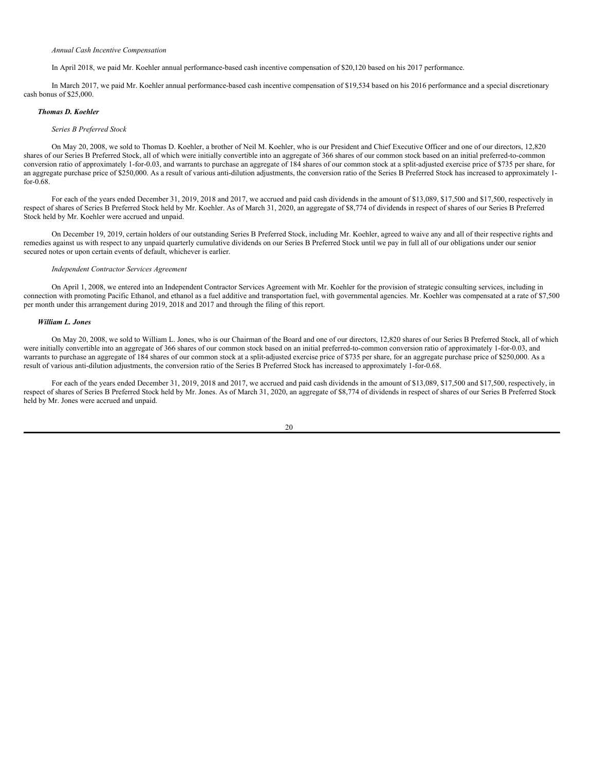In April 2018, we paid Mr. Koehler annual performance-based cash incentive compensation of \$20,120 based on his 2017 performance.

In March 2017, we paid Mr. Koehler annual performance-based cash incentive compensation of \$19,534 based on his 2016 performance and a special discretionary cash bonus of \$25,000.

## *Thomas D. Koehler*

### *Series B Preferred Stock*

On May 20, 2008, we sold to Thomas D. Koehler, a brother of Neil M. Koehler, who is our President and Chief Executive Officer and one of our directors, 12,820 shares of our Series B Preferred Stock, all of which were initially convertible into an aggregate of 366 shares of our common stock based on an initial preferred-to-common conversion ratio of approximately 1-for-0.03, and warrants to purchase an aggregate of 184 shares of our common stock at a split-adjusted exercise price of \$735 per share, for an aggregate purchase price of \$250,000. As a result of various anti-dilution adjustments, the conversion ratio of the Series B Preferred Stock has increased to approximately 1 for-0.68.

For each of the years ended December 31, 2019, 2018 and 2017, we accrued and paid cash dividends in the amount of \$13,089, \$17,500 and \$17,500, respectively in respect of shares of Series B Preferred Stock held by Mr. Koehler. As of March 31, 2020, an aggregate of \$8,774 of dividends in respect of shares of our Series B Preferred Stock held by Mr. Koehler were accrued and unpaid.

On December 19, 2019, certain holders of our outstanding Series B Preferred Stock, including Mr. Koehler, agreed to waive any and all of their respective rights and remedies against us with respect to any unpaid quarterly cumulative dividends on our Series B Preferred Stock until we pay in full all of our obligations under our senior secured notes or upon certain events of default, whichever is earlier.

#### *Independent Contractor Services Agreement*

On April 1, 2008, we entered into an Independent Contractor Services Agreement with Mr. Koehler for the provision of strategic consulting services, including in connection with promoting Pacific Ethanol, and ethanol as a fuel additive and transportation fuel, with governmental agencies. Mr. Koehler was compensated at a rate of \$7,500 per month under this arrangement during 2019, 2018 and 2017 and through the filing of this report.

## *William L. Jones*

On May 20, 2008, we sold to William L. Jones, who is our Chairman of the Board and one of our directors, 12,820 shares of our Series B Preferred Stock, all of which were initially convertible into an aggregate of 366 shares of our common stock based on an initial preferred-to-common conversion ratio of approximately 1-for-0.03, and warrants to purchase an aggregate of 184 shares of our common stock at a split-adjusted exercise price of \$735 per share, for an aggregate purchase price of \$250,000. As a result of various anti-dilution adjustments, the conversion ratio of the Series B Preferred Stock has increased to approximately 1-for-0.68.

For each of the years ended December 31, 2019, 2018 and 2017, we accrued and paid cash dividends in the amount of \$13,089, \$17,500 and \$17,500, respectively, in respect of shares of Series B Preferred Stock held by Mr. Jones. As of March 31, 2020, an aggregate of \$8,774 of dividends in respect of shares of our Series B Preferred Stock held by Mr. Jones were accrued and unpaid.

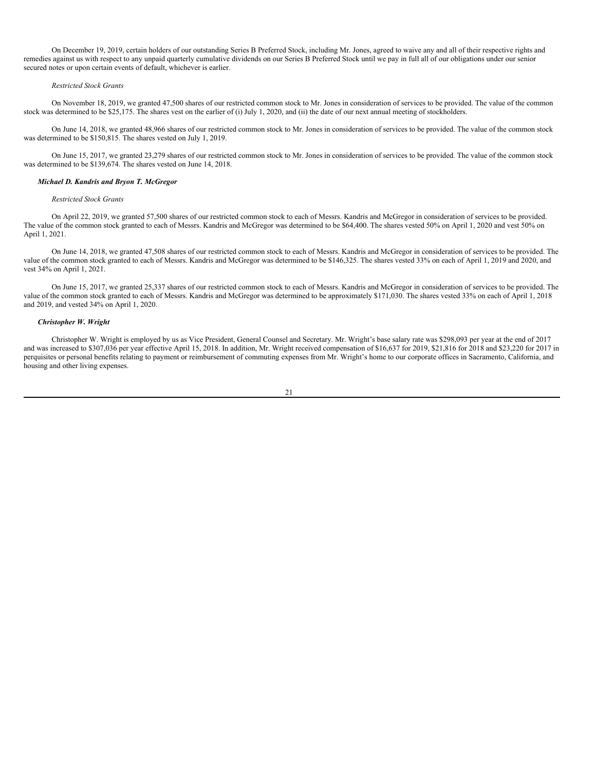On December 19, 2019, certain holders of our outstanding Series B Preferred Stock, including Mr. Jones, agreed to waive any and all of their respective rights and remedies against us with respect to any unpaid quarterly cumulative dividends on our Series B Preferred Stock until we pay in full all of our obligations under our senior secured notes or upon certain events of default, whichever is earlier.

### *Restricted Stock Grants*

On November 18, 2019, we granted 47,500 shares of our restricted common stock to Mr. Jones in consideration of services to be provided. The value of the common stock was determined to be \$25,175. The shares vest on the earlier of (i) July 1, 2020, and (ii) the date of our next annual meeting of stockholders.

On June 14, 2018, we granted 48,966 shares of our restricted common stock to Mr. Jones in consideration of services to be provided. The value of the common stock was determined to be \$150,815. The shares vested on July 1, 2019.

On June 15, 2017, we granted 23,279 shares of our restricted common stock to Mr. Jones in consideration of services to be provided. The value of the common stock was determined to be \$139,674. The shares vested on June 14, 2018.

## *Michael D. Kandris and Bryon T. McGregor*

#### *Restricted Stock Grants*

On April 22, 2019, we granted 57,500 shares of our restricted common stock to each of Messrs. Kandris and McGregor in consideration of services to be provided. The value of the common stock granted to each of Messrs. Kandris and McGregor was determined to be \$64,400. The shares vested 50% on April 1, 2020 and vest 50% on April 1, 2021.

On June 14, 2018, we granted 47,508 shares of our restricted common stock to each of Messrs. Kandris and McGregor in consideration of services to be provided. The value of the common stock granted to each of Messrs. Kandris and McGregor was determined to be \$146,325. The shares vested 33% on each of April 1, 2019 and 2020, and vest 34% on April 1, 2021.

On June 15, 2017, we granted 25,337 shares of our restricted common stock to each of Messrs. Kandris and McGregor in consideration of services to be provided. The value of the common stock granted to each of Messrs. Kandris and McGregor was determined to be approximately \$171,030. The shares vested 33% on each of April 1, 2018 and 2019, and vested 34% on April 1, 2020.

## *Christopher W. Wright*

Christopher W. Wright is employed by us as Vice President, General Counsel and Secretary. Mr. Wright's base salary rate was \$298,093 per year at the end of 2017 and was increased to \$307,036 per year effective April 15, 2018. In addition, Mr. Wright received compensation of \$16,637 for 2019, \$21,816 for 2018 and \$23,220 for 2017 in perquisites or personal benefits relating to payment or reimbursement of commuting expenses from Mr. Wright's home to our corporate offices in Sacramento, California, and housing and other living expenses.

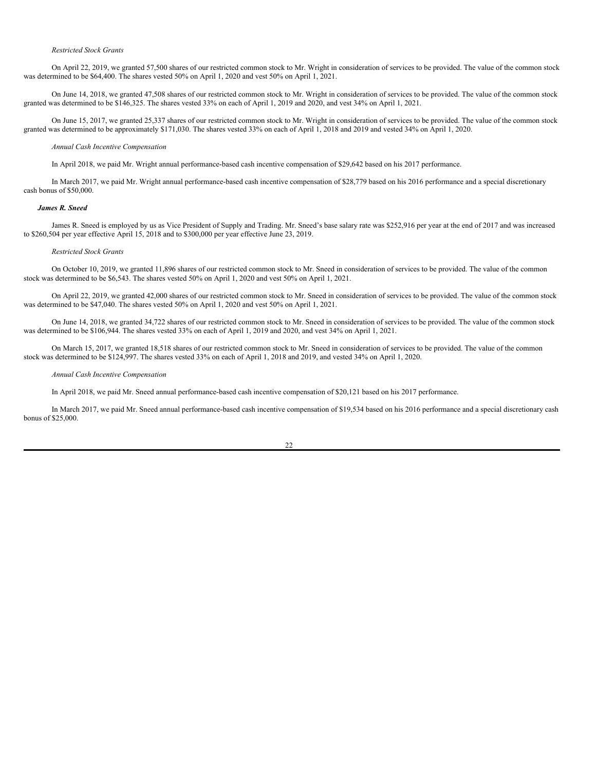#### *Restricted Stock Grants*

On April 22, 2019, we granted 57,500 shares of our restricted common stock to Mr. Wright in consideration of services to be provided. The value of the common stock was determined to be \$64,400. The shares vested 50% on April 1, 2020 and vest 50% on April 1, 2021.

On June 14, 2018, we granted 47,508 shares of our restricted common stock to Mr. Wright in consideration of services to be provided. The value of the common stock granted was determined to be \$146,325. The shares vested 33% on each of April 1, 2019 and 2020, and vest 34% on April 1, 2021.

On June 15, 2017, we granted 25,337 shares of our restricted common stock to Mr. Wright in consideration of services to be provided. The value of the common stock granted was determined to be approximately \$171,030. The shares vested 33% on each of April 1, 2018 and 2019 and vested 34% on April 1, 2020.

#### *Annual Cash Incentive Compensation*

In April 2018, we paid Mr. Wright annual performance-based cash incentive compensation of \$29,642 based on his 2017 performance.

In March 2017, we paid Mr. Wright annual performance-based cash incentive compensation of \$28,779 based on his 2016 performance and a special discretionary cash bonus of \$50,000.

## *James R. Sneed*

James R. Sneed is employed by us as Vice President of Supply and Trading. Mr. Sneed's base salary rate was \$252,916 per year at the end of 2017 and was increased to \$260,504 per year effective April 15, 2018 and to \$300,000 per year effective June 23, 2019.

## *Restricted Stock Grants*

On October 10, 2019, we granted 11,896 shares of our restricted common stock to Mr. Sneed in consideration of services to be provided. The value of the common stock was determined to be \$6,543. The shares vested 50% on April 1, 2020 and vest 50% on April 1, 2021.

On April 22, 2019, we granted 42,000 shares of our restricted common stock to Mr. Sneed in consideration of services to be provided. The value of the common stock was determined to be \$47,040. The shares vested 50% on April 1, 2020 and vest 50% on April 1, 2021.

On June 14, 2018, we granted 34,722 shares of our restricted common stock to Mr. Sneed in consideration of services to be provided. The value of the common stock was determined to be \$106,944. The shares vested 33% on each of April 1, 2019 and 2020, and vest 34% on April 1, 2021.

On March 15, 2017, we granted 18,518 shares of our restricted common stock to Mr. Sneed in consideration of services to be provided. The value of the common stock was determined to be \$124,997. The shares vested 33% on each of April 1, 2018 and 2019, and vested 34% on April 1, 2020.

#### *Annual Cash Incentive Compensation*

In April 2018, we paid Mr. Sneed annual performance-based cash incentive compensation of \$20,121 based on his 2017 performance.

In March 2017, we paid Mr. Sneed annual performance-based cash incentive compensation of \$19,534 based on his 2016 performance and a special discretionary cash bonus of \$25,000.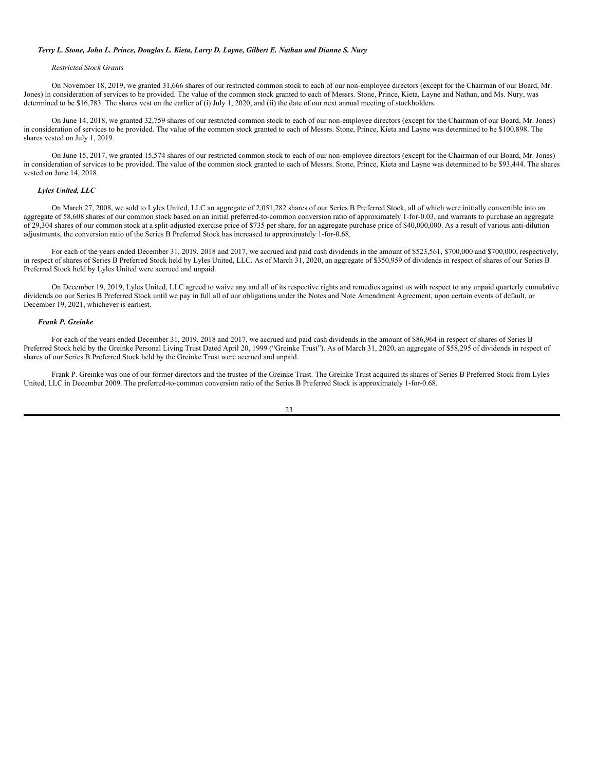#### Terry L. Stone, John L. Prince, Douglas L. Kieta, Larry D. Layne, Gilbert E. Nathan and Dianne S. Nury

## *Restricted Stock Grants*

On November 18, 2019, we granted 31,666 shares of our restricted common stock to each of our non-employee directors (except for the Chairman of our Board, Mr. Jones) in consideration of services to be provided. The value of the common stock granted to each of Messrs. Stone, Prince, Kieta, Layne and Nathan, and Ms. Nury, was determined to be \$16,783. The shares vest on the earlier of (i) July 1, 2020, and (ii) the date of our next annual meeting of stockholders.

On June 14, 2018, we granted 32,759 shares of our restricted common stock to each of our non-employee directors (except for the Chairman of our Board, Mr. Jones) in consideration of services to be provided. The value of the common stock granted to each of Messrs. Stone, Prince, Kieta and Layne was determined to be \$100,898. The shares vested on July 1, 2019.

On June 15, 2017, we granted 15,574 shares of our restricted common stock to each of our non-employee directors (except for the Chairman of our Board, Mr. Jones) in consideration of services to be provided. The value of the common stock granted to each of Messrs. Stone, Prince, Kieta and Layne was determined to be \$93,444. The shares vested on June 14, 2018.

## *Lyles United, LLC*

On March 27, 2008, we sold to Lyles United, LLC an aggregate of 2,051,282 shares of our Series B Preferred Stock, all of which were initially convertible into an aggregate of 58,608 shares of our common stock based on an initial preferred-to-common conversion ratio of approximately 1-for-0.03, and warrants to purchase an aggregate of 29,304 shares of our common stock at a split-adjusted exercise price of \$735 per share, for an aggregate purchase price of \$40,000,000. As a result of various anti-dilution adjustments, the conversion ratio of the Series B Preferred Stock has increased to approximately 1-for-0.68.

For each of the years ended December 31, 2019, 2018 and 2017, we accrued and paid cash dividends in the amount of \$523,561, \$700,000 and \$700,000, respectively, in respect of shares of Series B Preferred Stock held by Lyles United, LLC. As of March 31, 2020, an aggregate of \$350,959 of dividends in respect of shares of our Series B Preferred Stock held by Lyles United were accrued and unpaid.

On December 19, 2019, Lyles United, LLC agreed to waive any and all of its respective rights and remedies against us with respect to any unpaid quarterly cumulative dividends on our Series B Preferred Stock until we pay in full all of our obligations under the Notes and Note Amendment Agreement, upon certain events of default, or December 19, 2021, whichever is earliest.

## *Frank P. Greinke*

For each of the years ended December 31, 2019, 2018 and 2017, we accrued and paid cash dividends in the amount of \$86,964 in respect of shares of Series B Preferred Stock held by the Greinke Personal Living Trust Dated April 20, 1999 ("Greinke Trust"). As of March 31, 2020, an aggregate of \$58,295 of dividends in respect of shares of our Series B Preferred Stock held by the Greinke Trust were accrued and unpaid.

Frank P. Greinke was one of our former directors and the trustee of the Greinke Trust. The Greinke Trust acquired its shares of Series B Preferred Stock from Lyles United, LLC in December 2009. The preferred-to-common conversion ratio of the Series B Preferred Stock is approximately 1-for-0.68.

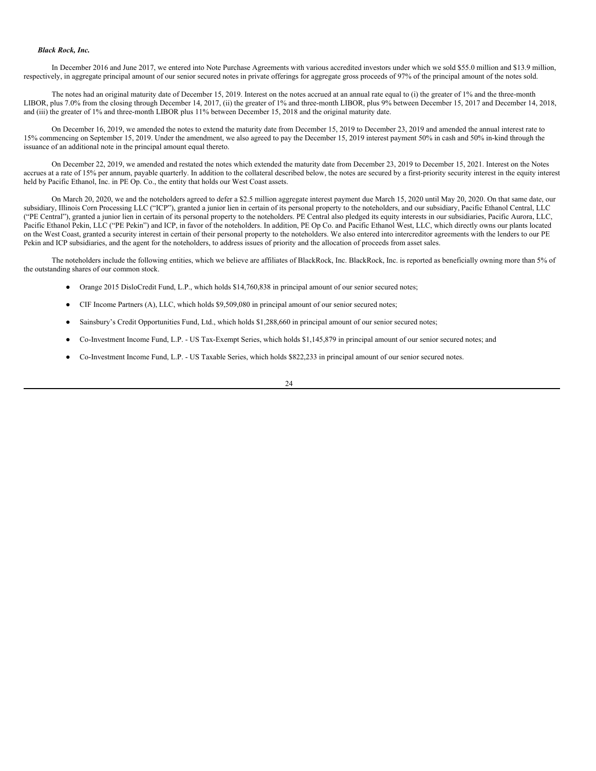#### *Black Rock, Inc.*

In December 2016 and June 2017, we entered into Note Purchase Agreements with various accredited investors under which we sold \$55.0 million and \$13.9 million, respectively, in aggregate principal amount of our senior secured notes in private offerings for aggregate gross proceeds of 97% of the principal amount of the notes sold.

The notes had an original maturity date of December 15, 2019. Interest on the notes accrued at an annual rate equal to (i) the greater of 1% and the three-month LIBOR, plus 7.0% from the closing through December 14, 2017, (ii) the greater of 1% and three-month LIBOR, plus 9% between December 15, 2017 and December 14, 2018, and (iii) the greater of 1% and three-month LIBOR plus 11% between December 15, 2018 and the original maturity date.

On December 16, 2019, we amended the notes to extend the maturity date from December 15, 2019 to December 23, 2019 and amended the annual interest rate to 15% commencing on September 15, 2019. Under the amendment, we also agreed to pay the December 15, 2019 interest payment 50% in cash and 50% in-kind through the issuance of an additional note in the principal amount equal thereto.

On December 22, 2019, we amended and restated the notes which extended the maturity date from December 23, 2019 to December 15, 2021. Interest on the Notes accrues at a rate of 15% per annum, payable quarterly. In addition to the collateral described below, the notes are secured by a first-priority security interest in the equity interest held by Pacific Ethanol, Inc. in PE Op. Co., the entity that holds our West Coast assets.

On March 20, 2020, we and the noteholders agreed to defer a \$2.5 million aggregate interest payment due March 15, 2020 until May 20, 2020. On that same date, our subsidiary, Illinois Corn Processing LLC ("ICP"), granted a junior lien in certain of its personal property to the noteholders, and our subsidiary, Pacific Ethanol Central, LLC ("PE Central"), granted a junior lien in certain of its personal property to the noteholders. PE Central also pledged its equity interests in our subsidiaries, Pacific Aurora, LLC, Pacific Ethanol Pekin, LLC ("PE Pekin") and ICP, in favor of the noteholders. In addition, PE Op Co. and Pacific Ethanol West, LLC, which directly owns our plants located on the West Coast, granted a security interest in certain of their personal property to the noteholders. We also entered into intercreditor agreements with the lenders to our PE Pekin and ICP subsidiaries, and the agent for the noteholders, to address issues of priority and the allocation of proceeds from asset sales.

The noteholders include the following entities, which we believe are affiliates of BlackRock, Inc. BlackRock, Inc. is reported as beneficially owning more than 5% of the outstanding shares of our common stock.

- Orange 2015 DisloCredit Fund, L.P., which holds \$14,760,838 in principal amount of our senior secured notes;
- CIF Income Partners (A), LLC, which holds \$9,509,080 in principal amount of our senior secured notes;
- Sainsbury's Credit Opportunities Fund, Ltd., which holds \$1,288,660 in principal amount of our senior secured notes;
- Co-Investment Income Fund, L.P. US Tax-Exempt Series, which holds \$1,145,879 in principal amount of our senior secured notes; and
- Co-Investment Income Fund, L.P. US Taxable Series, which holds \$822,233 in principal amount of our senior secured notes.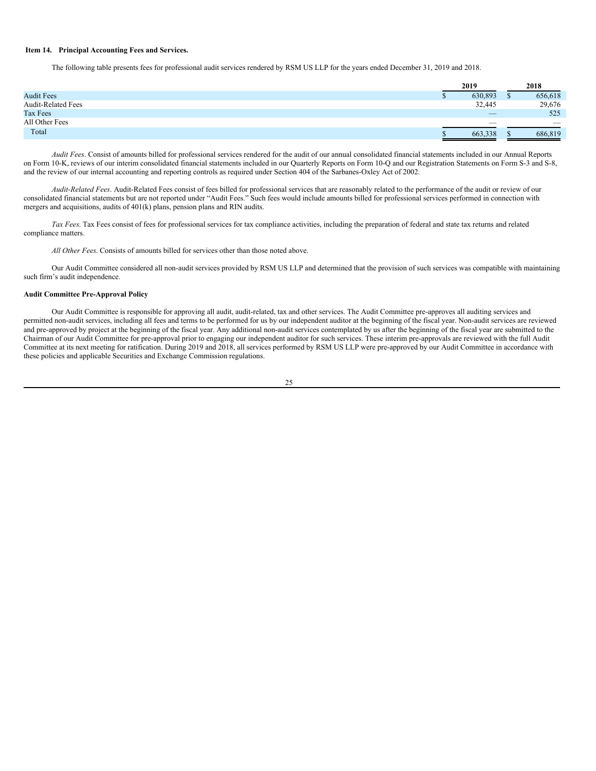## <span id="page-27-0"></span>**Item 14. Principal Accounting Fees and Services.**

The following table presents fees for professional audit services rendered by RSM US LLP for the years ended December 31, 2019 and 2018.

|                           | 2019                     |  | 2018    |
|---------------------------|--------------------------|--|---------|
| <b>Audit Fees</b>         | 630,893                  |  | 656,618 |
| <b>Audit-Related Fees</b> | 32,445                   |  | 29,676  |
| <b>Tax Fees</b>           | $\overline{\phantom{a}}$ |  | 525     |
| All Other Fees            | $\overline{\phantom{a}}$ |  |         |
| Total                     | 663,338                  |  | 686,819 |

*Audit Fees*. Consist of amounts billed for professional services rendered for the audit of our annual consolidated financial statements included in our Annual Reports on Form 10-K, reviews of our interim consolidated financial statements included in our Quarterly Reports on Form 10-Q and our Registration Statements on Form S-3 and S-8, and the review of our internal accounting and reporting controls as required under Section 404 of the Sarbanes-Oxley Act of 2002.

*Audit-Related Fees*. Audit-Related Fees consist of fees billed for professional services that are reasonably related to the performance of the audit or review of our consolidated financial statements but are not reported under "Audit Fees." Such fees would include amounts billed for professional services performed in connection with mergers and acquisitions, audits of 401(k) plans, pension plans and RIN audits.

*Tax Fees.* Tax Fees consist of fees for professional services for tax compliance activities, including the preparation of federal and state tax returns and related compliance matters.

*All Other Fees*. Consists of amounts billed for services other than those noted above.

Our Audit Committee considered all non-audit services provided by RSM US LLP and determined that the provision of such services was compatible with maintaining such firm's audit independence.

## **Audit Committee Pre-Approval Policy**

Our Audit Committee is responsible for approving all audit, audit-related, tax and other services. The Audit Committee pre-approves all auditing services and permitted non-audit services, including all fees and terms to be performed for us by our independent auditor at the beginning of the fiscal year. Non-audit services are reviewed and pre-approved by project at the beginning of the fiscal year. Any additional non-audit services contemplated by us after the beginning of the fiscal year are submitted to the Chairman of our Audit Committee for pre-approval prior to engaging our independent auditor for such services. These interim pre-approvals are reviewed with the full Audit Committee at its next meeting for ratification. During 2019 and 2018, all services performed by RSM US LLP were pre-approved by our Audit Committee in accordance with these policies and applicable Securities and Exchange Commission regulations.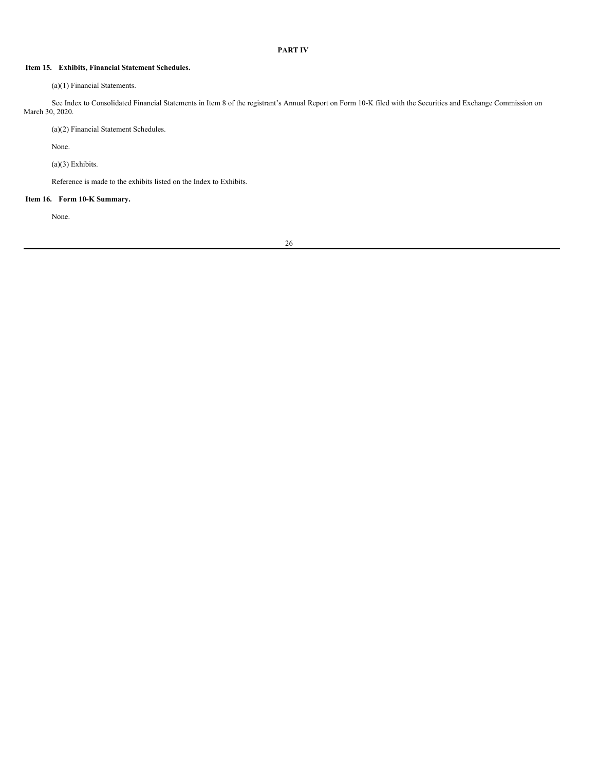## <span id="page-28-0"></span>**PART IV**

## <span id="page-28-1"></span>**Item 15. Exhibits, Financial Statement Schedules.**

(a)(1) Financial Statements.

See Index to Consolidated Financial Statements in Item 8 of the registrant's Annual Report on Form 10-K filed with the Securities and Exchange Commission on March 30, 2020.

(a)(2) Financial Statement Schedules.

None.

(a)(3) Exhibits.

Reference is made to the exhibits listed on the Index to Exhibits.

## <span id="page-28-2"></span>**Item 16. Form 10-K Summary.**

None.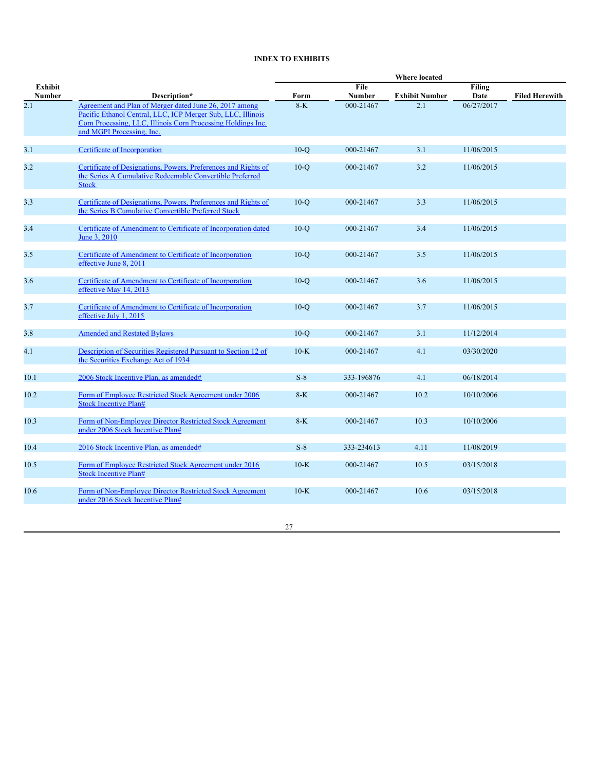# **INDEX TO EXHIBITS**

|                   |                                                                                                                                                                                                                    | Where located |                       |                       |                |                       |  |
|-------------------|--------------------------------------------------------------------------------------------------------------------------------------------------------------------------------------------------------------------|---------------|-----------------------|-----------------------|----------------|-----------------------|--|
| Exhibit<br>Number | Description*                                                                                                                                                                                                       | Form          | File<br><b>Number</b> | <b>Exhibit Number</b> | Filing<br>Date | <b>Filed Herewith</b> |  |
| 2.1               | Agreement and Plan of Merger dated June 26, 2017 among<br>Pacific Ethanol Central, LLC, ICP Merger Sub, LLC, Illinois<br>Corn Processing, LLC, Illinois Corn Processing Holdings Inc.<br>and MGPI Processing, Inc. | $8-K$         | 000-21467             | 2.1                   | 06/27/2017     |                       |  |
| 3.1               | Certificate of Incorporation                                                                                                                                                                                       | $10-o$        | 000-21467             | 3.1                   | 11/06/2015     |                       |  |
| 3.2               | Certificate of Designations, Powers, Preferences and Rights of<br>the Series A Cumulative Redeemable Convertible Preferred<br><b>Stock</b>                                                                         | $10-Q$        | 000-21467             | 3.2                   | 11/06/2015     |                       |  |
| 3.3               | Certificate of Designations, Powers, Preferences and Rights of<br>the Series B Cumulative Convertible Preferred Stock                                                                                              | $10-Q$        | 000-21467             | 3.3                   | 11/06/2015     |                       |  |
| 3.4               | Certificate of Amendment to Certificate of Incorporation dated<br>June 3, 2010                                                                                                                                     | $10-o$        | 000-21467             | 3.4                   | 11/06/2015     |                       |  |
| 3.5               | Certificate of Amendment to Certificate of Incorporation<br>effective June 8, 2011                                                                                                                                 | $10-o$        | 000-21467             | 3.5                   | 11/06/2015     |                       |  |
| 3.6               | Certificate of Amendment to Certificate of Incorporation<br>effective May 14, 2013                                                                                                                                 | $10-o$        | 000-21467             | 3.6                   | 11/06/2015     |                       |  |
| 3.7               | Certificate of Amendment to Certificate of Incorporation<br>effective July 1, 2015                                                                                                                                 | $10-Q$        | 000-21467             | 3.7                   | 11/06/2015     |                       |  |
| 3.8               | <b>Amended and Restated Bylaws</b>                                                                                                                                                                                 | $10-o$        | 000-21467             | 3.1                   | 11/12/2014     |                       |  |
| 4.1               | Description of Securities Registered Pursuant to Section 12 of<br>the Securities Exchange Act of 1934                                                                                                              | $10-K$        | 000-21467             | 4.1                   | 03/30/2020     |                       |  |
| 10.1              | 2006 Stock Incentive Plan, as amended#                                                                                                                                                                             | $S-8$         | 333-196876            | 4.1                   | 06/18/2014     |                       |  |
| 10.2              | Form of Employee Restricted Stock Agreement under 2006<br><b>Stock Incentive Plan#</b>                                                                                                                             | $8-K$         | 000-21467             | 10.2                  | 10/10/2006     |                       |  |
| 10.3              | Form of Non-Employee Director Restricted Stock Agreement<br>under 2006 Stock Incentive Plan#                                                                                                                       | $8-K$         | 000-21467             | 10.3                  | 10/10/2006     |                       |  |
| 10.4              | 2016 Stock Incentive Plan, as amended#                                                                                                                                                                             | $S-8$         | 333-234613            | 4.11                  | 11/08/2019     |                       |  |
| 10.5              | Form of Employee Restricted Stock Agreement under 2016<br><b>Stock Incentive Plan#</b>                                                                                                                             | $10-K$        | 000-21467             | 10.5                  | 03/15/2018     |                       |  |
| 10.6              | Form of Non-Employee Director Restricted Stock Agreement<br>under 2016 Stock Incentive Plan#                                                                                                                       | $10-K$        | 000-21467             | 10.6                  | 03/15/2018     |                       |  |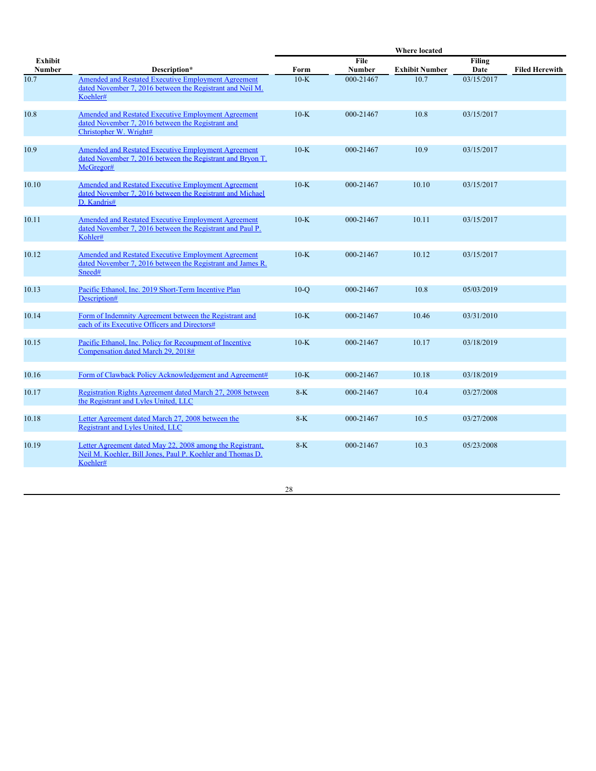|                |                                                                                                                                           |        |               | Where located         |               |                       |
|----------------|-------------------------------------------------------------------------------------------------------------------------------------------|--------|---------------|-----------------------|---------------|-----------------------|
| <b>Exhibit</b> |                                                                                                                                           |        | File          |                       | <b>Filing</b> |                       |
| <b>Number</b>  | Description*                                                                                                                              | Form   | <b>Number</b> | <b>Exhibit Number</b> | Date          | <b>Filed Herewith</b> |
| 10.7           | Amended and Restated Executive Employment Agreement<br>dated November 7, 2016 between the Registrant and Neil M.<br>Koehler#              | $10-K$ | 000-21467     | 10.7                  | 03/15/2017    |                       |
| 10.8           | <b>Amended and Restated Executive Employment Agreement</b><br>dated November 7, 2016 between the Registrant and<br>Christopher W. Wright# | $10-K$ | 000-21467     | 10.8                  | 03/15/2017    |                       |
| 10.9           | Amended and Restated Executive Employment Agreement<br>dated November 7, 2016 between the Registrant and Bryon T.<br>McGregor#            | $10-K$ | 000-21467     | 10.9                  | 03/15/2017    |                       |
| 10.10          | Amended and Restated Executive Employment Agreement<br>dated November 7, 2016 between the Registrant and Michael<br>D. Kandris#           | $10-K$ | 000-21467     | 10.10                 | 03/15/2017    |                       |
| 10.11          | Amended and Restated Executive Employment Agreement<br>dated November 7, 2016 between the Registrant and Paul P.<br>Kohler#               | $10-K$ | 000-21467     | 10.11                 | 03/15/2017    |                       |
| 10.12          | Amended and Restated Executive Employment Agreement<br>dated November 7, 2016 between the Registrant and James R.<br>Sneed#               | $10-K$ | 000-21467     | 10.12                 | 03/15/2017    |                       |
| 10.13          | Pacific Ethanol. Inc. 2019 Short-Term Incentive Plan<br>Description#                                                                      | $10-o$ | 000-21467     | 10.8                  | 05/03/2019    |                       |
| 10.14          | Form of Indemnity Agreement between the Registrant and<br>each of its Executive Officers and Directors#                                   | $10-K$ | 000-21467     | 10.46                 | 03/31/2010    |                       |
| 10.15          | Pacific Ethanol, Inc. Policy for Recoupment of Incentive<br>Compensation dated March 29, 2018#                                            | $10-K$ | 000-21467     | 10.17                 | 03/18/2019    |                       |
| 10.16          | Form of Clawback Policy Acknowledgement and Agreement#                                                                                    | $10-K$ | 000-21467     | 10.18                 | 03/18/2019    |                       |
| 10.17          | Registration Rights Agreement dated March 27, 2008 between<br>the Registrant and Lyles United, LLC                                        | $8-K$  | 000-21467     | 10.4                  | 03/27/2008    |                       |
| 10.18          | Letter Agreement dated March 27, 2008 between the<br><b>Registrant and Lyles United, LLC</b>                                              | $8-K$  | 000-21467     | 10.5                  | 03/27/2008    |                       |
| 10.19          | Letter Agreement dated May 22, 2008 among the Registrant,<br>Neil M. Koehler, Bill Jones, Paul P. Koehler and Thomas D.<br>Koehler#       | $8-K$  | 000-21467     | 10.3                  | 05/23/2008    |                       |
|                |                                                                                                                                           |        |               |                       |               |                       |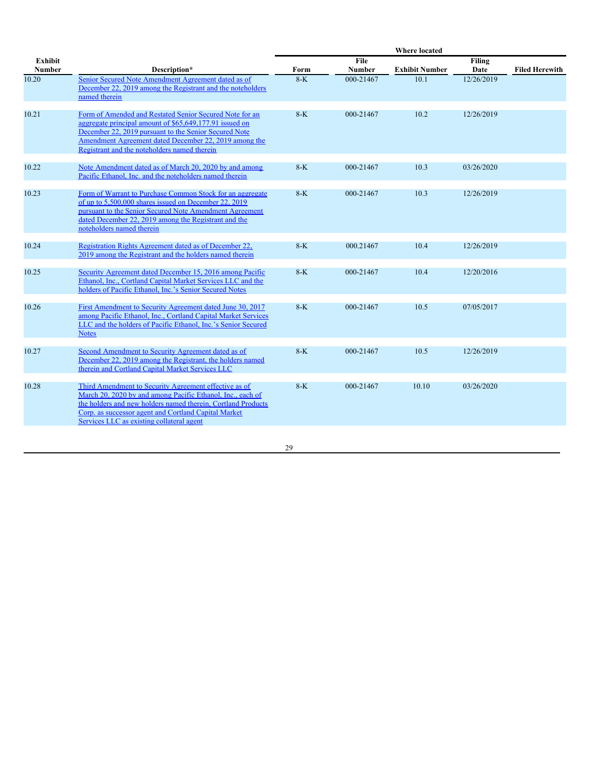|                          |                                                                                                                                                                                                                                                                                          |       |                | <b>Where located</b>  |                |                       |
|--------------------------|------------------------------------------------------------------------------------------------------------------------------------------------------------------------------------------------------------------------------------------------------------------------------------------|-------|----------------|-----------------------|----------------|-----------------------|
| <b>Exhibit</b><br>Number | Description*                                                                                                                                                                                                                                                                             | Form  | File<br>Number | <b>Exhibit Number</b> | Filing<br>Date | <b>Filed Herewith</b> |
| 10.20                    | Senior Secured Note Amendment Agreement dated as of<br>December 22, 2019 among the Registrant and the noteholders<br>named therein                                                                                                                                                       | $8-K$ | 000-21467      | 10.1                  | 12/26/2019     |                       |
| 10.21                    | Form of Amended and Restated Senior Secured Note for an<br>aggregate principal amount of \$65,649,177.91 issued on<br>December 22, 2019 pursuant to the Senior Secured Note<br>Amendment Agreement dated December 22, 2019 among the<br>Registrant and the noteholders named therein     | $8-K$ | 000-21467      | 10.2                  | 12/26/2019     |                       |
| 10.22                    | Note Amendment dated as of March 20, 2020 by and among<br>Pacific Ethanol, Inc. and the noteholders named therein                                                                                                                                                                        | $8-K$ | 000-21467      | 10.3                  | 03/26/2020     |                       |
| 10.23                    | Form of Warrant to Purchase Common Stock for an aggregate<br>of up to 5.500,000 shares issued on December 22, 2019<br>pursuant to the Senior Secured Note Amendment Agreement<br>dated December 22, 2019 among the Registrant and the<br>noteholders named therein                       | $8-K$ | 000-21467      | 10.3                  | 12/26/2019     |                       |
| 10.24                    | Registration Rights Agreement dated as of December 22,<br>2019 among the Registrant and the holders named therein                                                                                                                                                                        | $8-K$ | 000.21467      | 10.4                  | 12/26/2019     |                       |
| 10.25                    | Security Agreement dated December 15, 2016 among Pacific<br>Ethanol, Inc., Cortland Capital Market Services LLC and the<br>holders of Pacific Ethanol, Inc.'s Senior Secured Notes                                                                                                       | $8-K$ | 000-21467      | 10.4                  | 12/20/2016     |                       |
| 10.26                    | First Amendment to Security Agreement dated June 30, 2017<br>among Pacific Ethanol, Inc., Cortland Capital Market Services<br>LLC and the holders of Pacific Ethanol, Inc.'s Senior Secured<br><b>Notes</b>                                                                              | $8-K$ | 000-21467      | 10.5                  | 07/05/2017     |                       |
| 10.27                    | Second Amendment to Security Agreement dated as of<br>December 22, 2019 among the Registrant, the holders named<br>therein and Cortland Capital Market Services LLC                                                                                                                      | $8-K$ | 000-21467      | 10.5                  | 12/26/2019     |                       |
| 10.28                    | Third Amendment to Security Agreement effective as of<br>March 20, 2020 by and among Pacific Ethanol, Inc., each of<br>the holders and new holders named therein, Cortland Products<br>Corp. as successor agent and Cortland Capital Market<br>Services LLC as existing collateral agent | $8-K$ | 000-21467      | 10.10                 | 03/26/2020     |                       |
|                          |                                                                                                                                                                                                                                                                                          |       |                |                       |                |                       |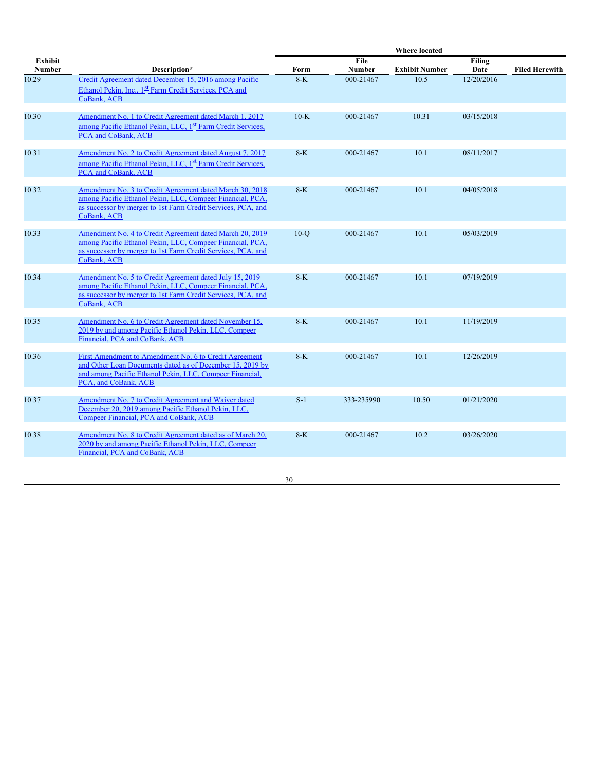|                                 |                                                                                                                                                                                                         |        |                | <b>Where located</b>  |                |                       |
|---------------------------------|---------------------------------------------------------------------------------------------------------------------------------------------------------------------------------------------------------|--------|----------------|-----------------------|----------------|-----------------------|
| <b>Exhibit</b><br><b>Number</b> | Description*                                                                                                                                                                                            | Form   | File<br>Number | <b>Exhibit Number</b> | Filing<br>Date | <b>Filed Herewith</b> |
| 10.29                           | Credit Agreement dated December 15, 2016 among Pacific<br>Ethanol Pekin, Inc., 1 <sup>st</sup> Farm Credit Services, PCA and<br>CoBank, ACB                                                             | $8-K$  | 000-21467      | 10.5                  | 12/20/2016     |                       |
| 10.30                           | Amendment No. 1 to Credit Agreement dated March 1, 2017<br>among Pacific Ethanol Pekin, LLC, 1 <sup>st</sup> Farm Credit Services,<br>PCA and CoBank, ACB                                               | $10-K$ | 000-21467      | 10.31                 | 03/15/2018     |                       |
| 10.31                           | Amendment No. 2 to Credit Agreement dated August 7, 2017<br>among Pacific Ethanol Pekin, LLC, 1 <sup>st</sup> Farm Credit Services.<br>PCA and CoBank, ACB                                              | $8-K$  | 000-21467      | 10.1                  | 08/11/2017     |                       |
| 10.32                           | Amendment No. 3 to Credit Agreement dated March 30, 2018<br>among Pacific Ethanol Pekin, LLC, Compeer Financial, PCA,<br>as successor by merger to 1st Farm Credit Services, PCA, and<br>CoBank, ACB    | $8-K$  | 000-21467      | 10.1                  | 04/05/2018     |                       |
| 10.33                           | Amendment No. 4 to Credit Agreement dated March 20, 2019<br>among Pacific Ethanol Pekin, LLC, Compeer Financial, PCA,<br>as successor by merger to 1st Farm Credit Services, PCA, and<br>CoBank, ACB    | $10-o$ | 000-21467      | 10.1                  | 05/03/2019     |                       |
| 10.34                           | Amendment No. 5 to Credit Agreement dated July 15, 2019<br>among Pacific Ethanol Pekin, LLC, Compeer Financial, PCA,<br>as successor by merger to 1st Farm Credit Services, PCA, and<br>CoBank, ACB     | $8-K$  | 000-21467      | 10.1                  | 07/19/2019     |                       |
| 10.35                           | Amendment No. 6 to Credit Agreement dated November 15,<br>2019 by and among Pacific Ethanol Pekin, LLC, Compeer<br>Financial, PCA and CoBank, ACB                                                       | $8-K$  | 000-21467      | 10.1                  | 11/19/2019     |                       |
| 10.36                           | First Amendment to Amendment No. 6 to Credit Agreement<br>and Other Loan Documents dated as of December 15, 2019 by<br>and among Pacific Ethanol Pekin, LLC, Compeer Financial,<br>PCA, and CoBank, ACB | $8-K$  | 000-21467      | 10.1                  | 12/26/2019     |                       |
| 10.37                           | Amendment No. 7 to Credit Agreement and Waiver dated<br>December 20, 2019 among Pacific Ethanol Pekin, LLC,<br>Compeer Financial, PCA and CoBank, ACB                                                   | $S-1$  | 333-235990     | 10.50                 | 01/21/2020     |                       |
| 10.38                           | Amendment No. 8 to Credit Agreement dated as of March 20,<br>2020 by and among Pacific Ethanol Pekin, LLC, Compeer<br>Financial, PCA and CoBank, ACB                                                    | $8-K$  | 000-21467      | 10.2                  | 03/26/2020     |                       |
|                                 |                                                                                                                                                                                                         |        |                |                       |                |                       |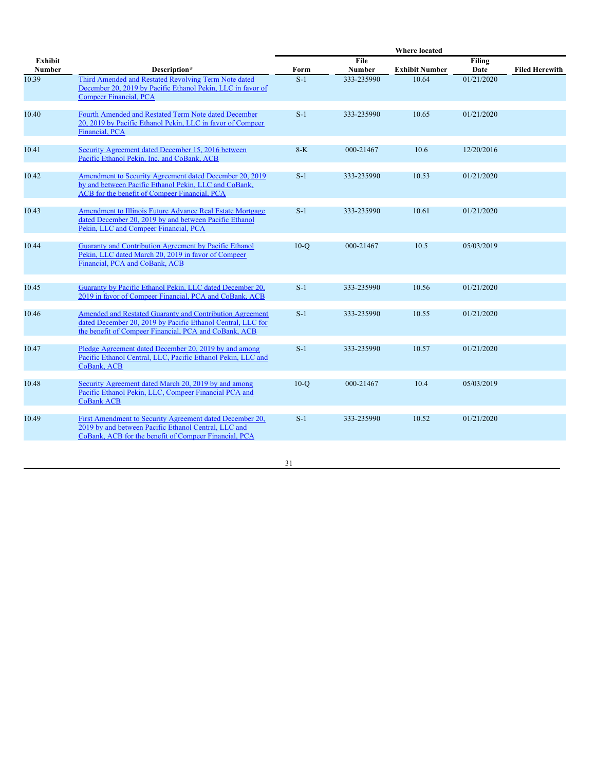|                                 |                                                                                                                                                                                  |        |                       | <b>Where located</b>  |                |                       |
|---------------------------------|----------------------------------------------------------------------------------------------------------------------------------------------------------------------------------|--------|-----------------------|-----------------------|----------------|-----------------------|
| <b>Exhibit</b><br><b>Number</b> | Description*                                                                                                                                                                     | Form   | File<br><b>Number</b> | <b>Exhibit Number</b> | Filing<br>Date | <b>Filed Herewith</b> |
| 10.39                           | Third Amended and Restated Revolving Term Note dated<br>December 20, 2019 by Pacific Ethanol Pekin, LLC in favor of<br><b>Compeer Financial, PCA</b>                             | $S-1$  | 333-235990            | 10.64                 | 01/21/2020     |                       |
| 10.40                           | Fourth Amended and Restated Term Note dated December<br>20, 2019 by Pacific Ethanol Pekin, LLC in favor of Compeer<br>Financial, PCA                                             | $S-1$  | 333-235990            | 10.65                 | 01/21/2020     |                       |
| 10.41                           | Security Agreement dated December 15, 2016 between<br>Pacific Ethanol Pekin, Inc. and CoBank, ACB                                                                                | $8-K$  | 000-21467             | 10.6                  | 12/20/2016     |                       |
| 10.42                           | Amendment to Security Agreement dated December 20, 2019<br>by and between Pacific Ethanol Pekin, LLC and CoBank,<br>ACB for the benefit of Compeer Financial, PCA                | $S-1$  | 333-235990            | 10.53                 | 01/21/2020     |                       |
| 10.43                           | Amendment to Illinois Future Advance Real Estate Mortgage<br>dated December 20, 2019 by and between Pacific Ethanol<br>Pekin, LLC and Compeer Financial, PCA                     | $S-1$  | 333-235990            | 10.61                 | 01/21/2020     |                       |
| 10.44                           | Guaranty and Contribution Agreement by Pacific Ethanol<br>Pekin, LLC dated March 20, 2019 in favor of Compeer<br>Financial, PCA and CoBank, ACB                                  | $10-Q$ | 000-21467             | 10.5                  | 05/03/2019     |                       |
| 10.45                           | Guaranty by Pacific Ethanol Pekin, LLC dated December 20,<br>2019 in favor of Compeer Financial, PCA and CoBank, ACB                                                             | $S-1$  | 333-235990            | 10.56                 | 01/21/2020     |                       |
| 10.46                           | Amended and Restated Guaranty and Contribution Agreement<br>dated December 20, 2019 by Pacific Ethanol Central, LLC for<br>the benefit of Compeer Financial, PCA and CoBank, ACB | $S-1$  | 333-235990            | 10.55                 | 01/21/2020     |                       |
| 10.47                           | Pledge Agreement dated December 20, 2019 by and among<br>Pacific Ethanol Central, LLC, Pacific Ethanol Pekin, LLC and<br>CoBank, ACB                                             | $S-1$  | 333-235990            | 10.57                 | 01/21/2020     |                       |
| 10.48                           | Security Agreement dated March 20, 2019 by and among<br>Pacific Ethanol Pekin, LLC, Compeer Financial PCA and<br><b>CoBank ACB</b>                                               | $10-Q$ | 000-21467             | 10.4                  | 05/03/2019     |                       |
| 10.49                           | First Amendment to Security Agreement dated December 20,<br>2019 by and between Pacific Ethanol Central, LLC and<br>CoBank, ACB for the benefit of Compeer Financial, PCA        | $S-1$  | 333-235990            | 10.52                 | 01/21/2020     |                       |
|                                 |                                                                                                                                                                                  |        |                       |                       |                |                       |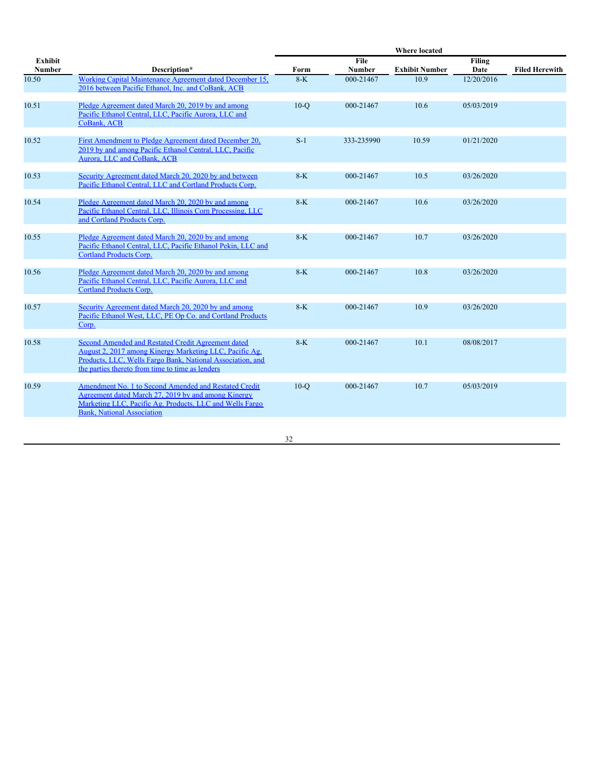|                          |                                                                                                                                                                                                                                 |        |                       | Where located         |                |                       |
|--------------------------|---------------------------------------------------------------------------------------------------------------------------------------------------------------------------------------------------------------------------------|--------|-----------------------|-----------------------|----------------|-----------------------|
| Exhibit<br><b>Number</b> | Description*                                                                                                                                                                                                                    | Form   | File<br><b>Number</b> | <b>Exhibit Number</b> | Filing<br>Date | <b>Filed Herewith</b> |
| 10.50                    | Working Capital Maintenance Agreement dated December 15.<br>2016 between Pacific Ethanol, Inc. and CoBank, ACB                                                                                                                  | $8-K$  | 000-21467             | 10.9                  | 12/20/2016     |                       |
| 10.51                    | Pledge Agreement dated March 20, 2019 by and among<br>Pacific Ethanol Central, LLC, Pacific Aurora, LLC and<br>CoBank, ACB                                                                                                      | $10-Q$ | 000-21467             | 10.6                  | 05/03/2019     |                       |
| 10.52                    | First Amendment to Pledge Agreement dated December 20,<br>2019 by and among Pacific Ethanol Central, LLC, Pacific<br>Aurora, LLC and CoBank, ACB                                                                                | $S-1$  | 333-235990            | 10.59                 | 01/21/2020     |                       |
| 10.53                    | Security Agreement dated March 20, 2020 by and between<br>Pacific Ethanol Central, LLC and Cortland Products Corp.                                                                                                              | $8-K$  | 000-21467             | 10.5                  | 03/26/2020     |                       |
| 10.54                    | Pledge Agreement dated March 20, 2020 by and among<br>Pacific Ethanol Central, LLC, Illinois Corn Processing, LLC<br>and Cortland Products Corp.                                                                                | $8-K$  | 000-21467             | 10.6                  | 03/26/2020     |                       |
| 10.55                    | Pledge Agreement dated March 20, 2020 by and among<br>Pacific Ethanol Central, LLC, Pacific Ethanol Pekin, LLC and<br><b>Cortland Products Corp.</b>                                                                            | $8-K$  | 000-21467             | 10.7                  | 03/26/2020     |                       |
| 10.56                    | Pledge Agreement dated March 20, 2020 by and among<br>Pacific Ethanol Central, LLC, Pacific Aurora, LLC and<br><b>Cortland Products Corp.</b>                                                                                   | $8-K$  | 000-21467             | 10.8                  | 03/26/2020     |                       |
| 10.57                    | Security Agreement dated March 20, 2020 by and among<br>Pacific Ethanol West, LLC, PE Op Co. and Cortland Products<br>Corp.                                                                                                     | $8-K$  | 000-21467             | 10.9                  | 03/26/2020     |                       |
| 10.58                    | Second Amended and Restated Credit Agreement dated<br>August 2, 2017 among Kinergy Marketing LLC, Pacific Ag.<br>Products, LLC, Wells Fargo Bank, National Association, and<br>the parties thereto from time to time as lenders | $8-K$  | 000-21467             | 10.1                  | 08/08/2017     |                       |
| 10.59                    | Amendment No. 1 to Second Amended and Restated Credit<br>Agreement dated March 27, 2019 by and among Kinergy<br>Marketing LLC, Pacific Ag. Products, LLC and Wells Fargo<br><b>Bank, National Association</b>                   | $10-o$ | 000-21467             | 10.7                  | 05/03/2019     |                       |
|                          |                                                                                                                                                                                                                                 |        |                       |                       |                |                       |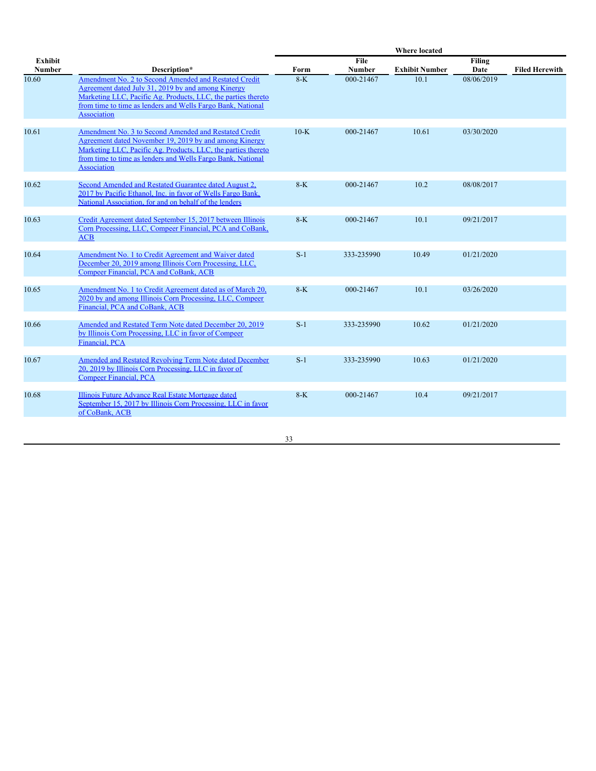|                                 |                                                                                                                                                                                                                                                                   | Where located |                       |                       |                       |                       |
|---------------------------------|-------------------------------------------------------------------------------------------------------------------------------------------------------------------------------------------------------------------------------------------------------------------|---------------|-----------------------|-----------------------|-----------------------|-----------------------|
| <b>Exhibit</b><br><b>Number</b> | Description*                                                                                                                                                                                                                                                      | Form          | File<br><b>Number</b> | <b>Exhibit Number</b> | <b>Filing</b><br>Date | <b>Filed Herewith</b> |
| 10.60                           | Amendment No. 2 to Second Amended and Restated Credit<br>Agreement dated July 31, 2019 by and among Kinergy<br>Marketing LLC, Pacific Ag. Products, LLC, the parties thereto<br>from time to time as lenders and Wells Fargo Bank, National<br><b>Association</b> | $8-K$         | 000-21467             | 10.1                  | 08/06/2019            |                       |
| 10.61                           | Amendment No. 3 to Second Amended and Restated Credit<br>Agreement dated November 19, 2019 by and among Kinergy<br>Marketing LLC, Pacific Ag. Products, LLC, the parties thereto<br>from time to time as lenders and Wells Fargo Bank, National<br>Association    | $10-K$        | 000-21467             | 10.61                 | 03/30/2020            |                       |
| 10.62                           | Second Amended and Restated Guarantee dated August 2,<br>2017 by Pacific Ethanol, Inc. in favor of Wells Fargo Bank,<br>National Association, for and on behalf of the lenders                                                                                    | $8-K$         | 000-21467             | 10.2                  | 08/08/2017            |                       |
| 10.63                           | Credit Agreement dated September 15, 2017 between Illinois<br>Corn Processing, LLC, Compeer Financial, PCA and CoBank,<br>ACB                                                                                                                                     | $8-K$         | 000-21467             | 10.1                  | 09/21/2017            |                       |
| 10.64                           | Amendment No. 1 to Credit Agreement and Waiver dated<br>December 20, 2019 among Illinois Corn Processing, LLC,<br>Compeer Financial, PCA and CoBank, ACB                                                                                                          | $S-1$         | 333-235990            | 10.49                 | 01/21/2020            |                       |
| 10.65                           | Amendment No. 1 to Credit Agreement dated as of March 20,<br>2020 by and among Illinois Corn Processing, LLC, Compeer<br>Financial, PCA and CoBank, ACB                                                                                                           | $8-K$         | 000-21467             | 10.1                  | 03/26/2020            |                       |
| 10.66                           | Amended and Restated Term Note dated December 20, 2019<br>by Illinois Corn Processing, LLC in favor of Compeer<br>Financial, PCA                                                                                                                                  | $S-1$         | 333-235990            | 10.62                 | 01/21/2020            |                       |
| 10.67                           | Amended and Restated Revolving Term Note dated December<br>20, 2019 by Illinois Corn Processing, LLC in favor of<br><b>Compeer Financial, PCA</b>                                                                                                                 | $S-1$         | 333-235990            | 10.63                 | 01/21/2020            |                       |
| 10.68                           | Illinois Future Advance Real Estate Mortgage dated<br>September 15, 2017 by Illinois Corn Processing, LLC in favor<br>of CoBank, ACB                                                                                                                              | $8-K$         | 000-21467             | 10.4                  | 09/21/2017            |                       |
|                                 |                                                                                                                                                                                                                                                                   |               |                       |                       |                       |                       |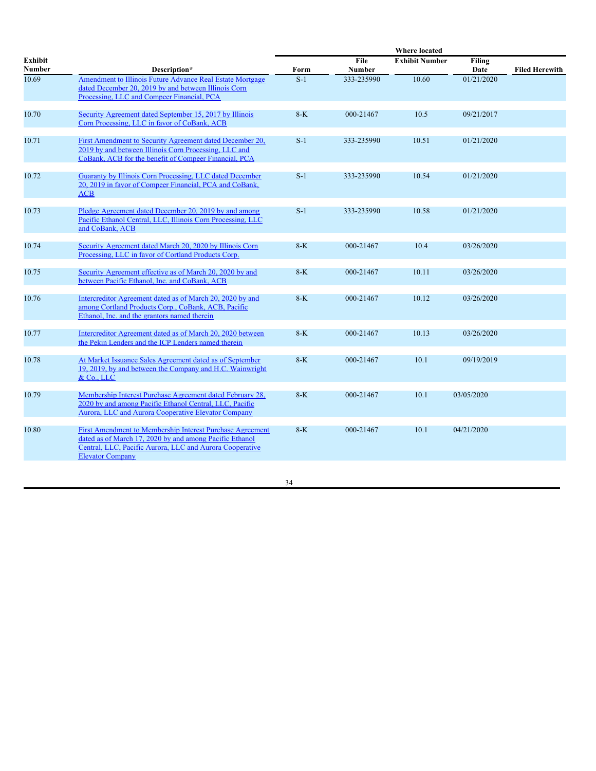|                          |                                                                                                                                                                                                             |       |                | <b>Where located</b>  |                       |                       |
|--------------------------|-------------------------------------------------------------------------------------------------------------------------------------------------------------------------------------------------------------|-------|----------------|-----------------------|-----------------------|-----------------------|
| Exhibit<br><b>Number</b> | Description*                                                                                                                                                                                                | Form  | File<br>Number | <b>Exhibit Number</b> | <b>Filing</b><br>Date | <b>Filed Herewith</b> |
| 10.69                    | Amendment to Illinois Future Advance Real Estate Mortgage<br>dated December 20, 2019 by and between Illinois Corn<br>Processing, LLC and Compeer Financial, PCA                                             | $S-1$ | 333-235990     | 10.60                 | 01/21/2020            |                       |
| 10.70                    | Security Agreement dated September 15, 2017 by Illinois<br>Corn Processing, LLC in favor of CoBank, ACB                                                                                                     | $8-K$ | 000-21467      | 10.5                  | 09/21/2017            |                       |
| 10.71                    | First Amendment to Security Agreement dated December 20,<br>2019 by and between Illinois Corn Processing, LLC and<br>CoBank, ACB for the benefit of Compeer Financial, PCA                                  | $S-1$ | 333-235990     | 10.51                 | 01/21/2020            |                       |
| 10.72                    | Guaranty by Illinois Corn Processing, LLC dated December<br>20, 2019 in favor of Compeer Financial, PCA and CoBank,<br><b>ACB</b>                                                                           | $S-1$ | 333-235990     | 10.54                 | 01/21/2020            |                       |
| 10.73                    | Pledge Agreement dated December 20, 2019 by and among<br>Pacific Ethanol Central, LLC, Illinois Corn Processing, LLC<br>and CoBank, ACB                                                                     | $S-1$ | 333-235990     | 10.58                 | 01/21/2020            |                       |
| 10.74                    | Security Agreement dated March 20, 2020 by Illinois Corn<br>Processing, LLC in favor of Cortland Products Corp.                                                                                             | $8-K$ | 000-21467      | 10.4                  | 03/26/2020            |                       |
| 10.75                    | Security Agreement effective as of March 20, 2020 by and<br>between Pacific Ethanol, Inc. and CoBank, ACB                                                                                                   | $8-K$ | 000-21467      | 10.11                 | 03/26/2020            |                       |
| 10.76                    | Intercreditor Agreement dated as of March 20, 2020 by and<br>among Cortland Products Corp., CoBank, ACB, Pacific<br>Ethanol. Inc. and the grantors named therein                                            | $8-K$ | 000-21467      | 10.12                 | 03/26/2020            |                       |
| 10.77                    | Intercreditor Agreement dated as of March 20, 2020 between<br>the Pekin Lenders and the ICP Lenders named therein                                                                                           | $8-K$ | 000-21467      | 10.13                 | 03/26/2020            |                       |
| 10.78                    | At Market Issuance Sales Agreement dated as of September<br>19, 2019, by and between the Company and H.C. Wainwright<br>&Co., LLC                                                                           | $8-K$ | 000-21467      | 10.1                  | 09/19/2019            |                       |
| 10.79                    | Membership Interest Purchase Agreement dated February 28,<br>2020 by and among Pacific Ethanol Central, LLC, Pacific<br>Aurora, LLC and Aurora Cooperative Elevator Company                                 | $8-K$ | 000-21467      | 10.1                  | 03/05/2020            |                       |
| 10.80                    | First Amendment to Membership Interest Purchase Agreement<br>dated as of March 17, 2020 by and among Pacific Ethanol<br>Central, LLC, Pacific Aurora, LLC and Aurora Cooperative<br><b>Elevator Company</b> | $8-K$ | 000-21467      | 10.1                  | 04/21/2020            |                       |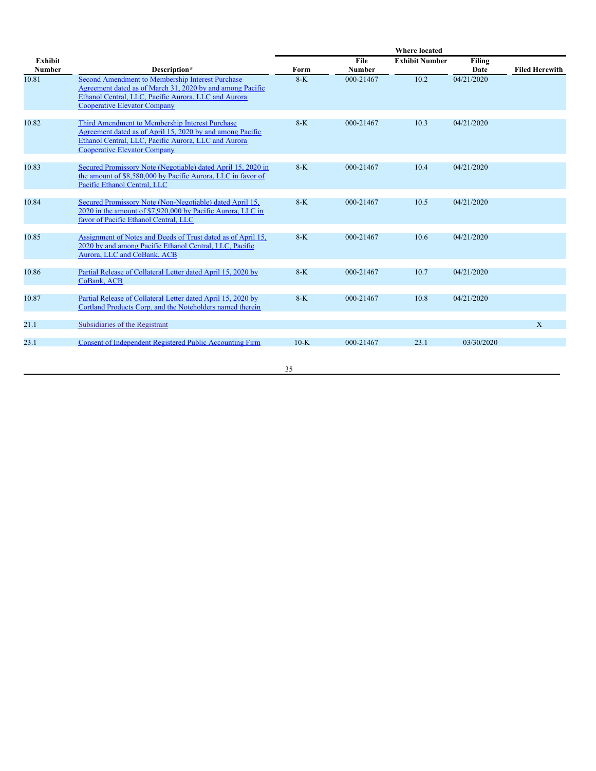|                                 |                                                                                                                                                                                                              | <b>Where located</b> |                       |                       |                       |                       |
|---------------------------------|--------------------------------------------------------------------------------------------------------------------------------------------------------------------------------------------------------------|----------------------|-----------------------|-----------------------|-----------------------|-----------------------|
| <b>Exhibit</b><br><b>Number</b> | Description*                                                                                                                                                                                                 | Form                 | File<br><b>Number</b> | <b>Exhibit Number</b> | <b>Filing</b><br>Date | <b>Filed Herewith</b> |
| 10.81                           | Second Amendment to Membership Interest Purchase<br>Agreement dated as of March 31, 2020 by and among Pacific<br>Ethanol Central, LLC, Pacific Aurora, LLC and Aurora<br><b>Cooperative Elevator Company</b> | $8-K$                | 000-21467             | 10.2                  | 04/21/2020            |                       |
| 10.82                           | Third Amendment to Membership Interest Purchase<br>Agreement dated as of April 15, 2020 by and among Pacific<br>Ethanol Central, LLC, Pacific Aurora, LLC and Aurora<br><b>Cooperative Elevator Company</b>  | $8-K$                | 000-21467             | 10.3                  | 04/21/2020            |                       |
| 10.83                           | Secured Promissory Note (Negotiable) dated April 15, 2020 in<br>the amount of \$8,580,000 by Pacific Aurora, LLC in favor of<br>Pacific Ethanol Central, LLC                                                 | $8-K$                | 000-21467             | 10.4                  | 04/21/2020            |                       |
| 10.84                           | Secured Promissory Note (Non-Negotiable) dated April 15,<br>2020 in the amount of \$7,920,000 by Pacific Aurora, LLC in<br>favor of Pacific Ethanol Central, LLC                                             | $8-K$                | 000-21467             | 10.5                  | 04/21/2020            |                       |
| 10.85                           | Assignment of Notes and Deeds of Trust dated as of April 15,<br>2020 by and among Pacific Ethanol Central, LLC, Pacific<br>Aurora, LLC and CoBank, ACB                                                       | $8-K$                | 000-21467             | 10.6                  | 04/21/2020            |                       |
| 10.86                           | Partial Release of Collateral Letter dated April 15, 2020 by<br>CoBank, ACB                                                                                                                                  | $8-K$                | 000-21467             | 10.7                  | 04/21/2020            |                       |
| 10.87                           | Partial Release of Collateral Letter dated April 15, 2020 by<br>Cortland Products Corp. and the Noteholders named therein                                                                                    | $8-K$                | 000-21467             | 10.8                  | 04/21/2020            |                       |
| 21.1                            | Subsidiaries of the Registrant                                                                                                                                                                               |                      |                       |                       |                       | X                     |
| 23.1                            | Consent of Independent Registered Public Accounting Firm                                                                                                                                                     | $10-K$               | 000-21467             | 23.1                  | 03/30/2020            |                       |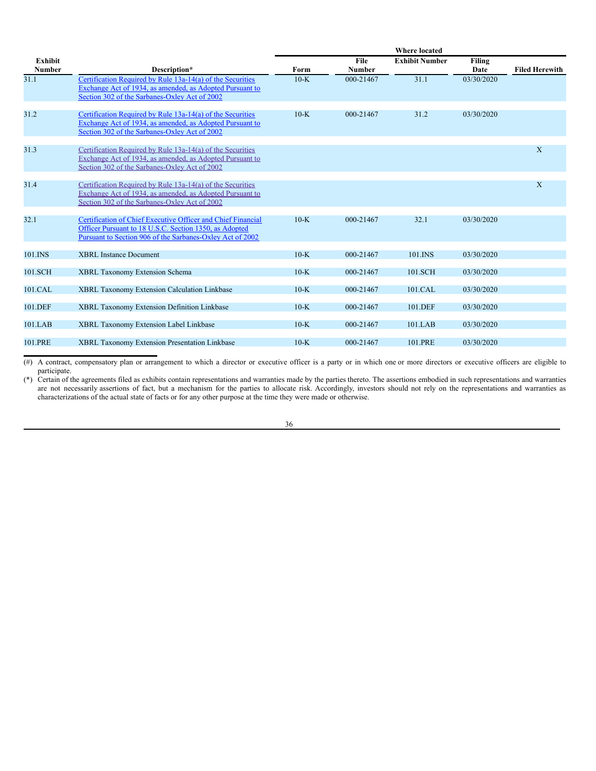| Exhibit<br><b>Number</b> | Description*                                                                                                                                                                        | Form   | File<br><b>Number</b> | <b>Exhibit Number</b> | <b>Filing</b><br>Date | <b>Filed Herewith</b> |
|--------------------------|-------------------------------------------------------------------------------------------------------------------------------------------------------------------------------------|--------|-----------------------|-----------------------|-----------------------|-----------------------|
| 31.1                     | Certification Required by Rule 13a-14(a) of the Securities<br>Exchange Act of 1934, as amended, as Adopted Pursuant to<br>Section 302 of the Sarbanes-Oxley Act of 2002             | $10-K$ | 000-21467             | 31.1                  | 03/30/2020            |                       |
| 31.2                     | Certification Required by Rule 13a-14(a) of the Securities<br>Exchange Act of 1934, as amended, as Adopted Pursuant to<br>Section 302 of the Sarbanes-Oxley Act of 2002             | $10-K$ | 000-21467             | 31.2                  | 03/30/2020            |                       |
| 31.3                     | Certification Required by Rule 13a-14(a) of the Securities<br>Exchange Act of 1934, as amended, as Adopted Pursuant to<br>Section 302 of the Sarbanes-Oxley Act of 2002             |        |                       |                       |                       | X                     |
| 31.4                     | Certification Required by Rule 13a-14(a) of the Securities<br>Exchange Act of 1934, as amended, as Adopted Pursuant to<br>Section 302 of the Sarbanes-Oxley Act of 2002             |        |                       |                       |                       | X                     |
| 32.1                     | Certification of Chief Executive Officer and Chief Financial<br>Officer Pursuant to 18 U.S.C. Section 1350, as Adopted<br>Pursuant to Section 906 of the Sarbanes-Oxley Act of 2002 | $10-K$ | 000-21467             | 32.1                  | 03/30/2020            |                       |
| 101.INS                  | <b>XBRL Instance Document</b>                                                                                                                                                       | $10-K$ | 000-21467             | 101.INS               | 03/30/2020            |                       |
| 101.SCH                  | XBRL Taxonomy Extension Schema                                                                                                                                                      | $10-K$ | 000-21467             | 101.SCH               | 03/30/2020            |                       |
| 101.CAL                  | XBRL Taxonomy Extension Calculation Linkbase                                                                                                                                        | $10-K$ | 000-21467             | 101.CAL               | 03/30/2020            |                       |
| 101.DEF                  | XBRL Taxonomy Extension Definition Linkbase                                                                                                                                         | $10-K$ | 000-21467             | 101.DEF               | 03/30/2020            |                       |
| 101.LAB                  | XBRL Taxonomy Extension Label Linkbase                                                                                                                                              | $10-K$ | 000-21467             | 101.LAB               | 03/30/2020            |                       |
| 101.PRE                  | XBRL Taxonomy Extension Presentation Linkbase                                                                                                                                       | $10-K$ | 000-21467             | 101.PRE               | 03/30/2020            |                       |

<sup>(#)</sup> A contract, compensatory plan or arrangement to which a director or executive officer is a party or in which one or more directors or executive officers are eligible to participate.

(\*) Certain of the agreements filed as exhibits contain representations and warranties made by the parties thereto. The assertions embodied in such representations and warranties are not necessarily assertions of fact, but a mechanism for the parties to allocate risk. Accordingly, investors should not rely on the representations and warranties as characterizations of the actual state of facts or for any other purpose at the time they were made or otherwise.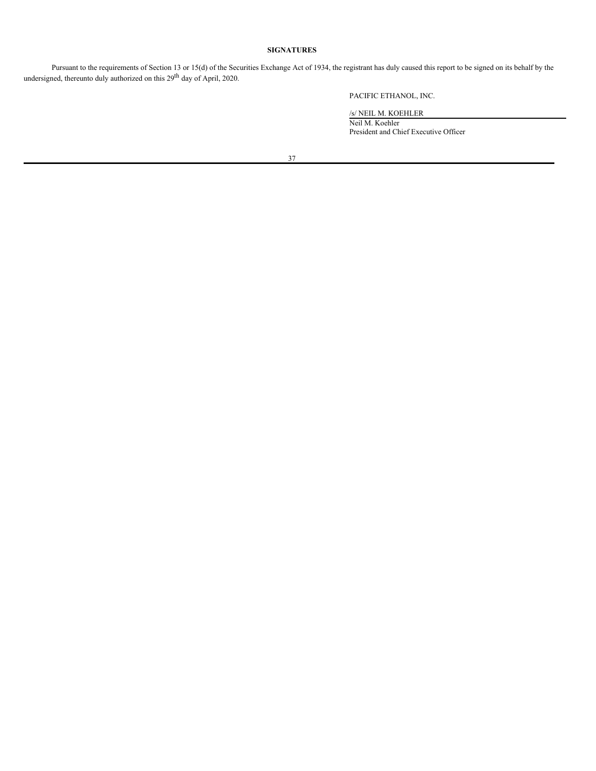# **SIGNATURES**

Pursuant to the requirements of Section 13 or 15(d) of the Securities Exchange Act of 1934, the registrant has duly caused this report to be signed on its behalf by the undersigned, thereunto duly authorized on this 29<sup>th</sup> day of April, 2020.

PACIFIC ETHANOL, INC.

/s/ NEIL M. KOEHLER

Neil M. Koehler President and Chief Executive Officer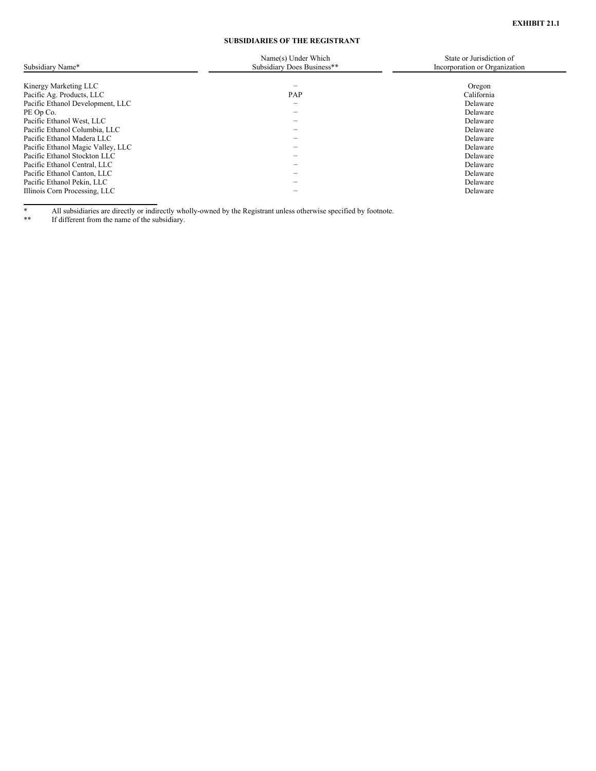# **SUBSIDIARIES OF THE REGISTRANT**

<span id="page-40-0"></span>

| Subsidiary Name*                  | Name(s) Under Which<br>Subsidiary Does Business** | State or Jurisdiction of<br>Incorporation or Organization |
|-----------------------------------|---------------------------------------------------|-----------------------------------------------------------|
|                                   |                                                   |                                                           |
| Kinergy Marketing LLC             |                                                   | Oregon                                                    |
| Pacific Ag. Products, LLC         | PAP                                               | California                                                |
| Pacific Ethanol Development, LLC  | $\hspace{0.05cm}$                                 | Delaware                                                  |
| PE Op Co.                         |                                                   | Delaware                                                  |
| Pacific Ethanol West, LLC         |                                                   | Delaware                                                  |
| Pacific Ethanol Columbia, LLC     |                                                   | Delaware                                                  |
| Pacific Ethanol Madera LLC        |                                                   | Delaware                                                  |
| Pacific Ethanol Magic Valley, LLC |                                                   | Delaware                                                  |
| Pacific Ethanol Stockton LLC      |                                                   | Delaware                                                  |
| Pacific Ethanol Central, LLC      | -                                                 | Delaware                                                  |
| Pacific Ethanol Canton, LLC       |                                                   | Delaware                                                  |
| Pacific Ethanol Pekin, LLC        |                                                   | Delaware                                                  |
| Illinois Corn Processing, LLC     |                                                   | Delaware                                                  |

\* All subsidiaries are directly or indirectly wholly-owned by the Registrant unless otherwise specified by footnote.

\*\* If different from the name of the subsidiary.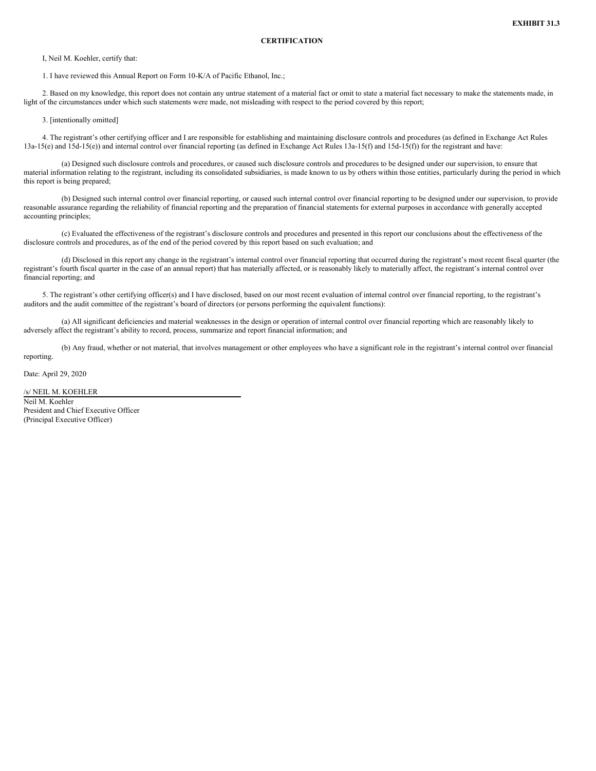<span id="page-41-0"></span>I, Neil M. Koehler, certify that:

1. I have reviewed this Annual Report on Form 10-K/A of Pacific Ethanol, Inc.;

2. Based on my knowledge, this report does not contain any untrue statement of a material fact or omit to state a material fact necessary to make the statements made, in light of the circumstances under which such statements were made, not misleading with respect to the period covered by this report;

3. [intentionally omitted]

4. The registrant's other certifying officer and I are responsible for establishing and maintaining disclosure controls and procedures (as defined in Exchange Act Rules 13a-15(e) and 15d-15(e)) and internal control over financial reporting (as defined in Exchange Act Rules 13a-15(f) and 15d-15(f)) for the registrant and have:

(a) Designed such disclosure controls and procedures, or caused such disclosure controls and procedures to be designed under our supervision, to ensure that material information relating to the registrant, including its consolidated subsidiaries, is made known to us by others within those entities, particularly during the period in which this report is being prepared;

(b) Designed such internal control over financial reporting, or caused such internal control over financial reporting to be designed under our supervision, to provide reasonable assurance regarding the reliability of financial reporting and the preparation of financial statements for external purposes in accordance with generally accepted accounting principles;

(c) Evaluated the effectiveness of the registrant's disclosure controls and procedures and presented in this report our conclusions about the effectiveness of the disclosure controls and procedures, as of the end of the period covered by this report based on such evaluation; and

(d) Disclosed in this report any change in the registrant's internal control over financial reporting that occurred during the registrant's most recent fiscal quarter (the registrant's fourth fiscal quarter in the case of an annual report) that has materially affected, or is reasonably likely to materially affect, the registrant's internal control over financial reporting; and

5. The registrant's other certifying officer(s) and I have disclosed, based on our most recent evaluation of internal control over financial reporting, to the registrant's auditors and the audit committee of the registrant's board of directors (or persons performing the equivalent functions):

(a) All significant deficiencies and material weaknesses in the design or operation of internal control over financial reporting which are reasonably likely to adversely affect the registrant's ability to record, process, summarize and report financial information; and

(b) Any fraud, whether or not material, that involves management or other employees who have a significant role in the registrant's internal control over financial reporting.

Date: April 29, 2020

/s/ NEIL M. KOEHLER

Neil M. Koehler President and Chief Executive Officer (Principal Executive Officer)